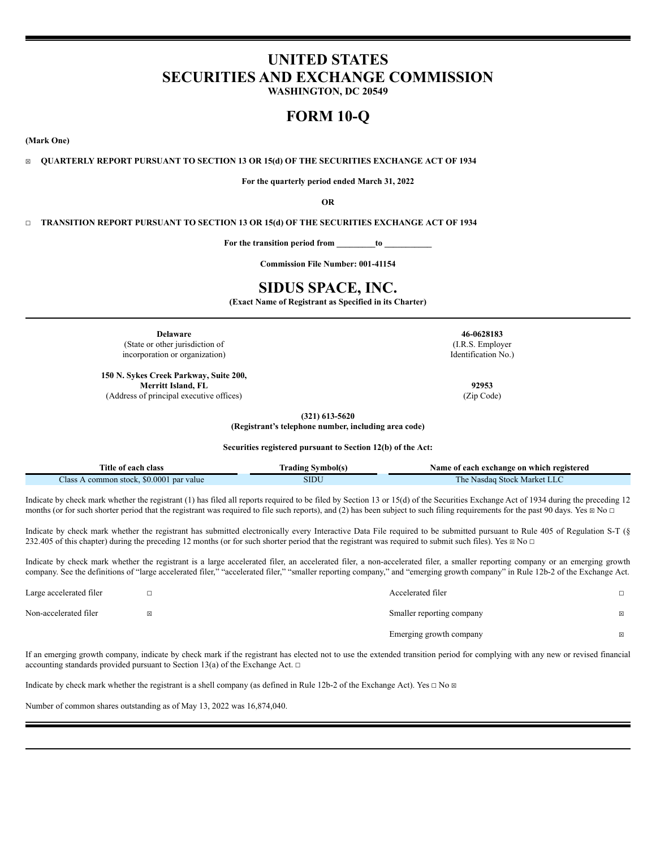# **UNITED STATES SECURITIES AND EXCHANGE COMMISSION**

**WASHINGTON, DC 20549**

# **FORM 10-Q**

**(Mark One)**

☒ **QUARTERLY REPORT PURSUANT TO SECTION 13 OR 15(d) OF THE SECURITIES EXCHANGE ACT OF 1934**

**For the quarterly period ended March 31, 2022**

**OR**

☐ **TRANSITION REPORT PURSUANT TO SECTION 13 OR 15(d) OF THE SECURITIES EXCHANGE ACT OF 1934**

**For the transition period from \_\_\_\_\_\_\_\_\_to \_\_\_\_\_\_\_\_\_\_\_**

**Commission File Number: 001-41154**

# **SIDUS SPACE, INC.**

**(Exact Name of Registrant as Specified in its Charter)**

**Delaware 46-0628183** (State or other jurisdiction of incorporation or organization)

**150 N. Sykes Creek Parkway, Suite 200, Merritt Island, FL 92953** (Address of principal executive offices) (Zip Code)

(I.R.S. Employer Identification No.)

**(321) 613-5620 (Registrant's telephone number, including area code)**

**Securities registered pursuant to Section 12(b) of the Act:**

| <b>CONTRACTOR</b><br>Title of each class                     | Symbol(s)<br>rading | Name of each exchange on which registered |  |  |  |  |
|--------------------------------------------------------------|---------------------|-------------------------------------------|--|--|--|--|
| $\sqrt{\$0.0001}$ par value<br><b>Tlass</b><br>common stock. | SIDU                | The Nasdad<br>Market<br>Stock             |  |  |  |  |

Indicate by check mark whether the registrant (1) has filed all reports required to be filed by Section 13 or 15(d) of the Securities Exchange Act of 1934 during the preceding 12 months (or for such shorter period that the registrant was required to file such reports), and (2) has been subject to such filing requirements for the past 90 days. Yes ⊠ No □

Indicate by check mark whether the registrant has submitted electronically every Interactive Data File required to be submitted pursuant to Rule 405 of Regulation S-T (§ 232.405 of this chapter) during the preceding 12 months (or for such shorter period that the registrant was required to submit such files). Yes  $\boxtimes$  No  $\Box$ 

Indicate by check mark whether the registrant is a large accelerated filer, an accelerated filer, a non-accelerated filer, a smaller reporting company or an emerging growth company. See the definitions of "large accelerated filer," "accelerated filer," "smaller reporting company," and "emerging growth company" in Rule 12b-2 of the Exchange Act.

| Large accelerated filer | ◡ | Accelerated filer         |   |
|-------------------------|---|---------------------------|---|
| Non-accelerated filer   | 図 | Smaller reporting company | 冈 |
|                         |   | Emerging growth company   | ⊠ |

If an emerging growth company, indicate by check mark if the registrant has elected not to use the extended transition period for complying with any new or revised financial accounting standards provided pursuant to Section 13(a) of the Exchange Act.  $□$ 

Indicate by check mark whether the registrant is a shell company (as defined in Rule 12b-2 of the Exchange Act). Yes  $\Box$  No  $\Box$ 

Number of common shares outstanding as of May 13, 2022 was 16,874,040.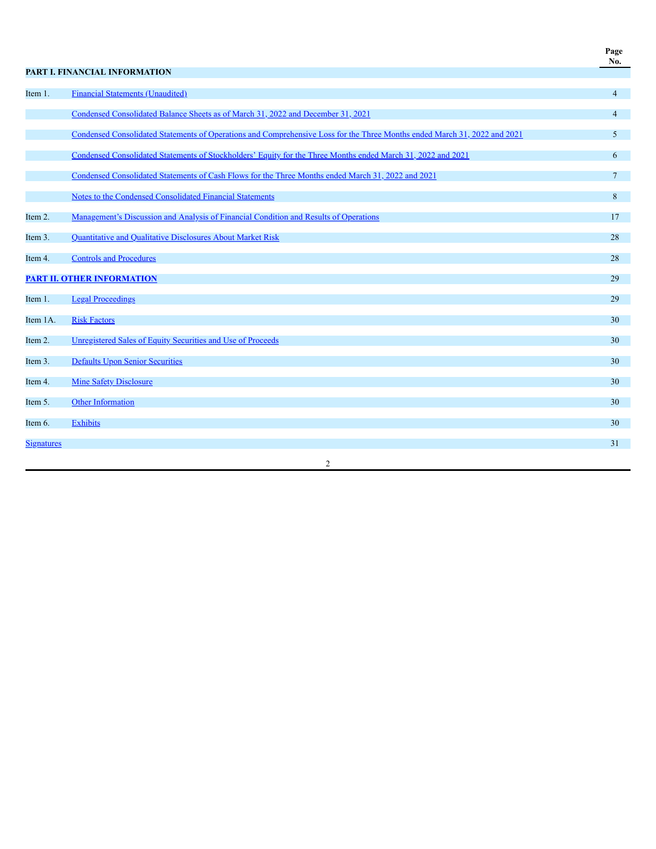**Page No.**

|                   |                                                                                                                           | $\cdots$       |
|-------------------|---------------------------------------------------------------------------------------------------------------------------|----------------|
|                   | PART I. FINANCIAL INFORMATION                                                                                             |                |
| Item 1.           | <b>Financial Statements (Unaudited)</b>                                                                                   | $\overline{4}$ |
|                   | Condensed Consolidated Balance Sheets as of March 31, 2022 and December 31, 2021                                          | $\overline{4}$ |
|                   | Condensed Consolidated Statements of Operations and Comprehensive Loss for the Three Months ended March 31, 2022 and 2021 | 5 <sup>5</sup> |
|                   | Condensed Consolidated Statements of Stockholders' Equity for the Three Months ended March 31, 2022 and 2021              | 6              |
|                   | Condensed Consolidated Statements of Cash Flows for the Three Months ended March 31, 2022 and 2021                        | $\overline{7}$ |
|                   | Notes to the Condensed Consolidated Financial Statements                                                                  | 8              |
| Item 2.           | Management's Discussion and Analysis of Financial Condition and Results of Operations                                     | 17             |
| Item 3.           | Quantitative and Qualitative Disclosures About Market Risk                                                                | 28             |
| Item 4.           | <b>Controls and Procedures</b>                                                                                            | 28             |
|                   | <b>PART II. OTHER INFORMATION</b>                                                                                         | 29             |
| Item 1.           | <b>Legal Proceedings</b>                                                                                                  | 29             |
| Item 1A.          | <b>Risk Factors</b>                                                                                                       | 30             |
| Item 2.           | Unregistered Sales of Equity Securities and Use of Proceeds                                                               | 30             |
| Item 3.           | <b>Defaults Upon Senior Securities</b>                                                                                    | 30             |
| Item 4.           | <b>Mine Safety Disclosure</b>                                                                                             | 30             |
| Item 5.           | <b>Other Information</b>                                                                                                  | 30             |
| Item 6.           | <b>Exhibits</b>                                                                                                           | 30             |
|                   |                                                                                                                           |                |
| <b>Signatures</b> |                                                                                                                           | 31             |
|                   | $\overline{2}$                                                                                                            |                |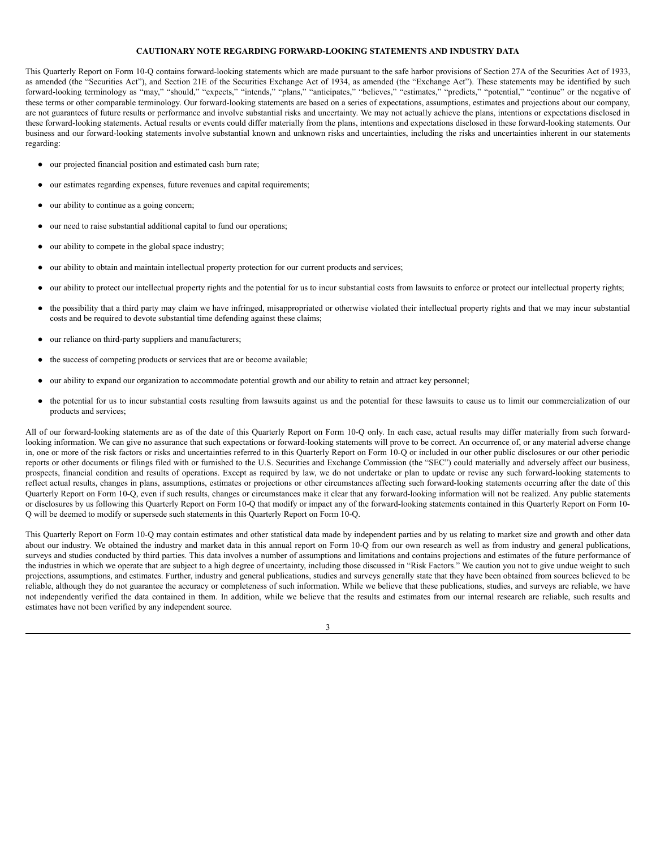### **CAUTIONARY NOTE REGARDING FORWARD-LOOKING STATEMENTS AND INDUSTRY DATA**

This Quarterly Report on Form 10-Q contains forward-looking statements which are made pursuant to the safe harbor provisions of Section 27A of the Securities Act of 1933, as amended (the "Securities Act"), and Section 21E of the Securities Exchange Act of 1934, as amended (the "Exchange Act"). These statements may be identified by such forward-looking terminology as "may," "should," "expects," "intends," "plans," "anticipates," "believes," "estimates," "predicts," "potential," "continue" or the negative of these terms or other comparable terminology. Our forward-looking statements are based on a series of expectations, assumptions, estimates and projections about our company, are not guarantees of future results or performance and involve substantial risks and uncertainty. We may not actually achieve the plans, intentions or expectations disclosed in these forward-looking statements. Actual results or events could differ materially from the plans, intentions and expectations disclosed in these forward-looking statements. Our business and our forward-looking statements involve substantial known and unknown risks and uncertainties, including the risks and uncertainties inherent in our statements regarding:

- our projected financial position and estimated cash burn rate;
- our estimates regarding expenses, future revenues and capital requirements;
- our ability to continue as a going concern;
- our need to raise substantial additional capital to fund our operations;
- our ability to compete in the global space industry;
- our ability to obtain and maintain intellectual property protection for our current products and services;
- our ability to protect our intellectual property rights and the potential for us to incur substantial costs from lawsuits to enforce or protect our intellectual property rights;
- the possibility that a third party may claim we have infringed, misappropriated or otherwise violated their intellectual property rights and that we may incur substantial costs and be required to devote substantial time defending against these claims;
- our reliance on third-party suppliers and manufacturers;
- the success of competing products or services that are or become available;
- our ability to expand our organization to accommodate potential growth and our ability to retain and attract key personnel;
- the potential for us to incur substantial costs resulting from lawsuits against us and the potential for these lawsuits to cause us to limit our commercialization of our products and services;

All of our forward-looking statements are as of the date of this Quarterly Report on Form 10-Q only. In each case, actual results may differ materially from such forwardlooking information. We can give no assurance that such expectations or forward-looking statements will prove to be correct. An occurrence of, or any material adverse change in, one or more of the risk factors or risks and uncertainties referred to in this Quarterly Report on Form 10-Q or included in our other public disclosures or our other periodic reports or other documents or filings filed with or furnished to the U.S. Securities and Exchange Commission (the "SEC") could materially and adversely affect our business, prospects, financial condition and results of operations. Except as required by law, we do not undertake or plan to update or revise any such forward-looking statements to reflect actual results, changes in plans, assumptions, estimates or projections or other circumstances affecting such forward-looking statements occurring after the date of this Quarterly Report on Form 10-Q, even if such results, changes or circumstances make it clear that any forward-looking information will not be realized. Any public statements or disclosures by us following this Quarterly Report on Form 10-Q that modify or impact any of the forward-looking statements contained in this Quarterly Report on Form 10- Q will be deemed to modify or supersede such statements in this Quarterly Report on Form 10-Q.

This Quarterly Report on Form 10-Q may contain estimates and other statistical data made by independent parties and by us relating to market size and growth and other data about our industry. We obtained the industry and market data in this annual report on Form 10-Q from our own research as well as from industry and general publications, surveys and studies conducted by third parties. This data involves a number of assumptions and limitations and contains projections and estimates of the future performance of the industries in which we operate that are subject to a high degree of uncertainty, including those discussed in "Risk Factors." We caution you not to give undue weight to such projections, assumptions, and estimates. Further, industry and general publications, studies and surveys generally state that they have been obtained from sources believed to be reliable, although they do not guarantee the accuracy or completeness of such information. While we believe that these publications, studies, and surveys are reliable, we have not independently verified the data contained in them. In addition, while we believe that the results and estimates from our internal research are reliable, such results and estimates have not been verified by any independent source.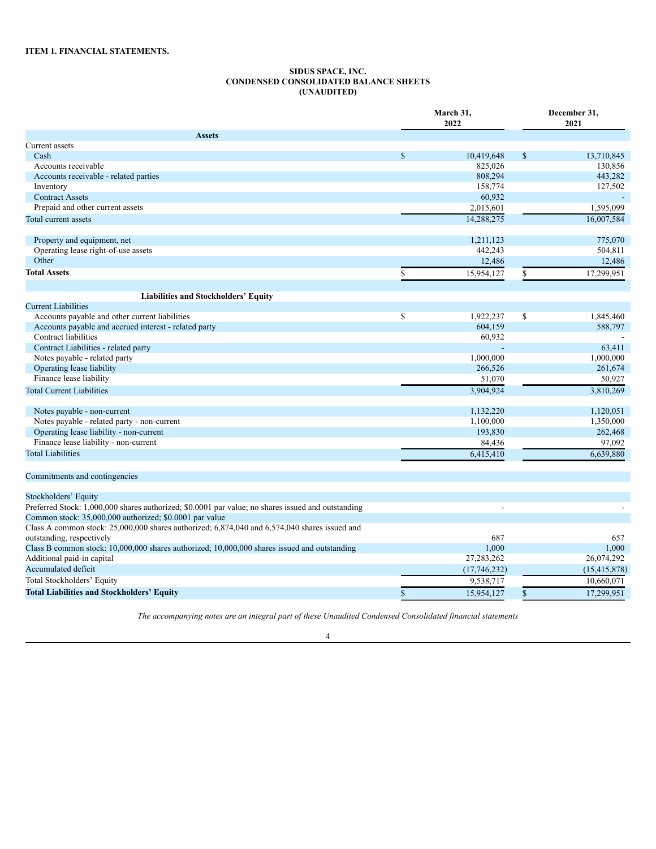#### **SIDUS SPACE, INC. CONDENSED CONSOLIDATED BALANCE SHEETS (UNAUDITED)**

<span id="page-3-1"></span><span id="page-3-0"></span>

|                                                                                                                                                               |             | March 31,<br>2022 | December 31,<br>2021 |                |
|---------------------------------------------------------------------------------------------------------------------------------------------------------------|-------------|-------------------|----------------------|----------------|
| <b>Assets</b>                                                                                                                                                 |             |                   |                      |                |
| Current assets                                                                                                                                                |             |                   |                      |                |
| Cash                                                                                                                                                          | $\mathbf S$ | 10,419,648        | \$                   | 13,710,845     |
| Accounts receivable                                                                                                                                           |             | 825,026           |                      | 130,856        |
| Accounts receivable - related parties                                                                                                                         |             | 808,294           |                      | 443,282        |
| Inventory                                                                                                                                                     |             | 158,774           |                      | 127,502        |
| <b>Contract Assets</b>                                                                                                                                        |             | 60,932            |                      |                |
| Prepaid and other current assets                                                                                                                              |             | 2,015,601         |                      | 1,595,099      |
| Total current assets                                                                                                                                          |             | 14,288,275        |                      | 16,007,584     |
| Property and equipment, net                                                                                                                                   |             | 1,211,123         |                      | 775,070        |
| Operating lease right-of-use assets                                                                                                                           |             | 442,243           |                      | 504,811        |
| Other                                                                                                                                                         |             | 12,486            |                      | 12,486         |
| <b>Total Assets</b>                                                                                                                                           | \$          | 15,954,127        | \$                   | 17,299,951     |
|                                                                                                                                                               |             |                   |                      |                |
| <b>Liabilities and Stockholders' Equity</b>                                                                                                                   |             |                   |                      |                |
| <b>Current Liabilities</b>                                                                                                                                    |             |                   |                      |                |
| Accounts payable and other current liabilities                                                                                                                | \$          | 1,922,237         | \$                   | 1,845,460      |
| Accounts payable and accrued interest - related party                                                                                                         |             | 604,159           |                      | 588,797        |
| Contract liabilities                                                                                                                                          |             | 60,932            |                      |                |
| Contract Liabilities - related party                                                                                                                          |             |                   |                      | 63,411         |
| Notes payable - related party                                                                                                                                 |             | 1,000,000         |                      | 1,000,000      |
| Operating lease liability                                                                                                                                     |             | 266,526           |                      | 261,674        |
| Finance lease liability                                                                                                                                       |             | 51,070            |                      | 50,927         |
| <b>Total Current Liabilities</b>                                                                                                                              |             | 3,904,924         |                      | 3,810,269      |
| Notes payable - non-current                                                                                                                                   |             | 1,132,220         |                      | 1,120,051      |
| Notes payable - related party - non-current                                                                                                                   |             | 1,100,000         |                      | 1,350,000      |
| Operating lease liability - non-current                                                                                                                       |             | 193,830           |                      | 262,468        |
| Finance lease liability - non-current                                                                                                                         |             | 84,436            |                      | 97,092         |
| <b>Total Liabilities</b>                                                                                                                                      |             | 6,415,410         |                      | 6,639,880      |
| Commitments and contingencies                                                                                                                                 |             |                   |                      |                |
|                                                                                                                                                               |             |                   |                      |                |
| Stockholders' Equity                                                                                                                                          |             |                   |                      |                |
| Preferred Stock: 1,000,000 shares authorized; \$0.0001 par value; no shares issued and outstanding<br>Common stock: 35,000,000 authorized; \$0.0001 par value |             |                   |                      |                |
| Class A common stock: $25,000,000$ shares authorized; $6,874,040$ and $6,574,040$ shares issued and                                                           |             |                   |                      |                |
|                                                                                                                                                               |             | 687               |                      | 657            |
| outstanding, respectively<br>Class B common stock: 10,000,000 shares authorized; 10,000,000 shares issued and outstanding                                     |             | 1,000             |                      | 1,000          |
| Additional paid-in capital                                                                                                                                    |             | 27,283,262        |                      | 26,074,292     |
| Accumulated deficit                                                                                                                                           |             |                   |                      |                |
|                                                                                                                                                               |             | (17,746,232)      |                      | (15, 415, 878) |
| Total Stockholders' Equity                                                                                                                                    |             | 9,538,717         |                      | 10,660,071     |
| <b>Total Liabilities and Stockholders' Equity</b>                                                                                                             | S.          | 15,954,127        | \$                   | 17,299,951     |

*The accompanying notes are an integral part of these Unaudited Condensed Consolidated financial statements*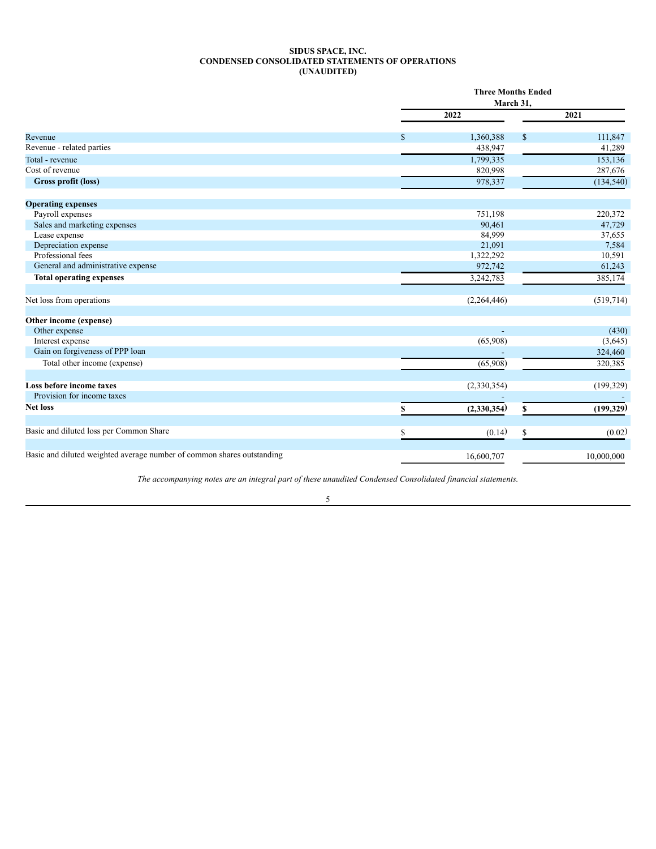# **SIDUS SPACE, INC. CONDENSED CONSOLIDATED STATEMENTS OF OPERATIONS (UNAUDITED)**

<span id="page-4-0"></span>

|                                                                        | <b>Three Months Ended</b><br>March 31, |    |            |  |
|------------------------------------------------------------------------|----------------------------------------|----|------------|--|
|                                                                        | 2022                                   |    | 2021       |  |
| Revenue                                                                | \$<br>1,360,388                        | \$ | 111,847    |  |
| Revenue - related parties                                              | 438,947                                |    | 41,289     |  |
| Total - revenue                                                        | 1,799,335                              |    | 153, 136   |  |
| Cost of revenue                                                        | 820,998                                |    | 287,676    |  |
| Gross profit (loss)                                                    | 978,337                                |    | (134, 540) |  |
| <b>Operating expenses</b>                                              |                                        |    |            |  |
| Payroll expenses                                                       | 751,198                                |    | 220,372    |  |
| Sales and marketing expenses                                           | 90,461                                 |    | 47,729     |  |
| Lease expense                                                          | 84,999                                 |    | 37,655     |  |
| Depreciation expense                                                   | 21,091                                 |    | 7,584      |  |
| Professional fees                                                      | 1,322,292                              |    | 10,591     |  |
| General and administrative expense                                     | 972,742                                |    | 61,243     |  |
| <b>Total operating expenses</b>                                        | 3,242,783                              |    | 385,174    |  |
| Net loss from operations                                               | (2,264,446)                            |    | (519, 714) |  |
| Other income (expense)                                                 |                                        |    |            |  |
| Other expense                                                          |                                        |    | (430)      |  |
| Interest expense                                                       | (65,908)                               |    | (3,645)    |  |
| Gain on forgiveness of PPP loan                                        |                                        |    | 324,460    |  |
| Total other income (expense)                                           | (65,908)                               |    | 320,385    |  |
| Loss before income taxes                                               | (2,330,354)                            |    | (199, 329) |  |
| Provision for income taxes                                             |                                        |    |            |  |
| <b>Net loss</b>                                                        | (2,330,354)                            | S  | (199,329)  |  |
| Basic and diluted loss per Common Share                                | (0.14)                                 | S  | (0.02)     |  |
|                                                                        |                                        |    |            |  |
| Basic and diluted weighted average number of common shares outstanding | 16,600,707                             |    | 10,000,000 |  |

*The accompanying notes are an integral part of these unaudited Condensed Consolidated financial statements.*

5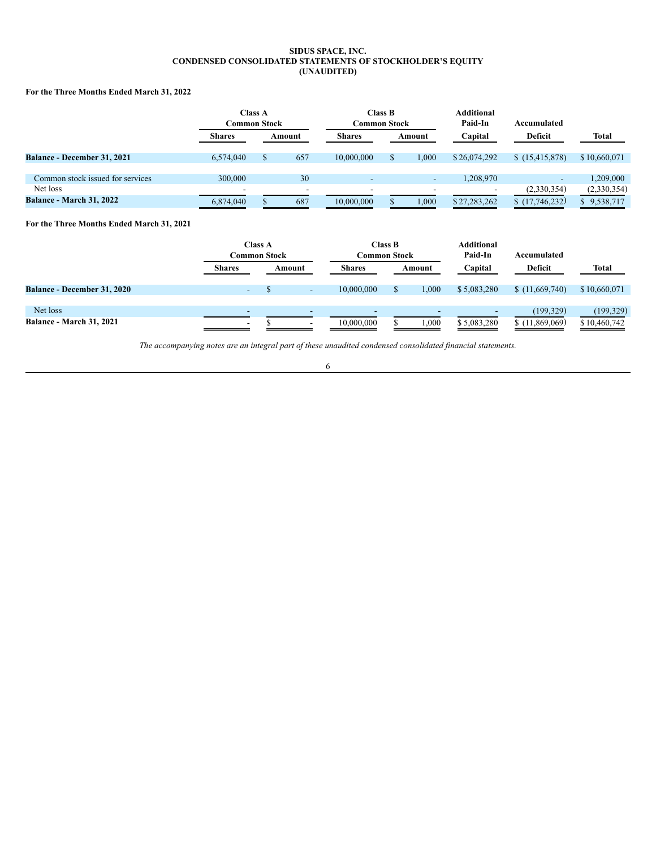# **SIDUS SPACE, INC. CONDENSED CONSOLIDATED STATEMENTS OF STOCKHOLDER'S EQUITY (UNAUDITED)**

<span id="page-5-0"></span>**For the Three Months Ended March 31, 2022**

|                                    |               | <b>Class A</b><br>Common Stock |        | <b>Class B</b><br>C <b>ommon Stock</b> |  |                          | <b>Additional</b><br>Paid-In | Accumulated              |              |  |
|------------------------------------|---------------|--------------------------------|--------|----------------------------------------|--|--------------------------|------------------------------|--------------------------|--------------|--|
|                                    | <b>Shares</b> |                                | Amount | <b>Shares</b>                          |  | Amount                   | Capital                      | Deficit                  | Total        |  |
| <b>Balance - December 31, 2021</b> | 6,574,040     |                                | 657    | 10,000,000                             |  | 000.1                    | \$26,074,292                 | \$(15,415,878)           | \$10,660,071 |  |
| Common stock issued for services   | 300,000       |                                | 30     |                                        |  | $\overline{\phantom{0}}$ | .208,970                     | $\overline{\phantom{a}}$ | .209,000     |  |
| Net loss                           |               |                                |        |                                        |  |                          |                              | (2,330,354)              | (2,330,354)  |  |
| <b>Balance - March 31, 2022</b>    | 6,874,040     |                                | 687    | 10,000,000                             |  | 000, 1                   | \$27,283,262                 | (17,746,232)             | \$9,538,717  |  |

# **For the Three Months Ended March 31, 2021**

|                                    |               | <b>Class A</b><br><b>Common Stock</b> |                          | <b>Class B</b><br>C <b>ommon Stock</b> |  |        | <b>Additional</b><br>Paid-In | Accumulated    |              |  |
|------------------------------------|---------------|---------------------------------------|--------------------------|----------------------------------------|--|--------|------------------------------|----------------|--------------|--|
|                                    | <b>Shares</b> |                                       | Amount                   | <b>Shares</b>                          |  | Amount | Capital                      | Deficit        | Total        |  |
| <b>Balance - December 31, 2020</b> | $\sim$        |                                       | $\overline{\phantom{a}}$ | 10.000,000                             |  | 000.   | \$5,083,280                  | \$(11,669,740) | \$10,660,071 |  |
| Net loss                           |               |                                       | -                        | <b>COL</b>                             |  |        | $\overline{\phantom{a}}$     | (199, 329)     | (199,329)    |  |
| <b>Balance - March 31, 2021</b>    | --            |                                       |                          | 10,000,000                             |  | 000    | \$5,083,280                  | \$(11,869,069) | \$10,460,742 |  |

*The accompanying notes are an integral part of these unaudited condensed consolidated financial statements.*

6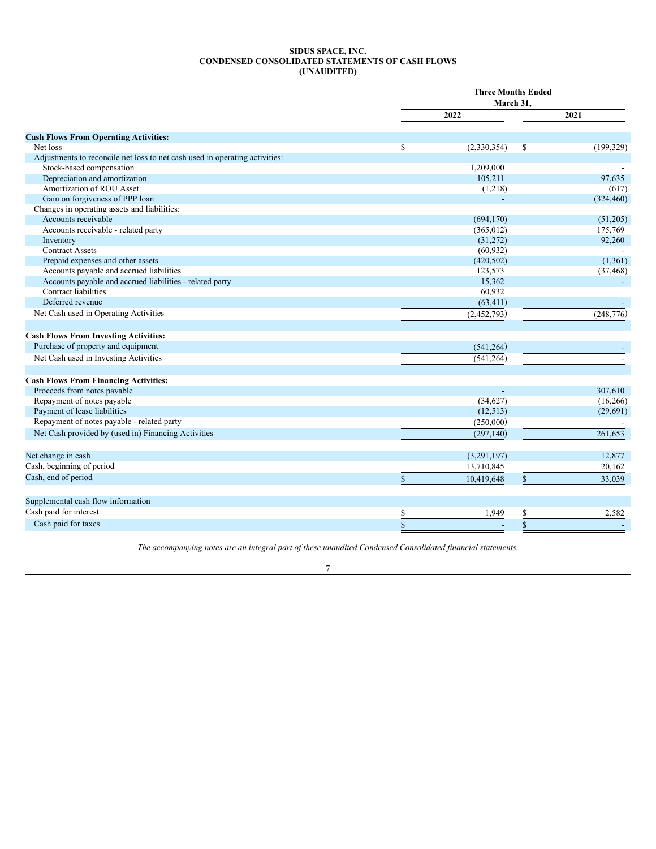## **SIDUS SPACE, INC. CONDENSED CONSOLIDATED STATEMENTS OF CASH FLOWS (UNAUDITED)**

<span id="page-6-0"></span>

|                                                                             |               | <b>Three Months Ended</b> |              |            |  |
|-----------------------------------------------------------------------------|---------------|---------------------------|--------------|------------|--|
|                                                                             |               |                           |              |            |  |
|                                                                             |               | 2022                      |              | 2021       |  |
| <b>Cash Flows From Operating Activities:</b>                                |               |                           |              |            |  |
| Net loss                                                                    | \$            | (2,330,354)               | \$           | (199, 329) |  |
| Adjustments to reconcile net loss to net cash used in operating activities: |               |                           |              |            |  |
| Stock-based compensation                                                    |               | 1,209,000                 |              |            |  |
| Depreciation and amortization                                               |               | 105,211                   |              | 97,635     |  |
| Amortization of ROU Asset                                                   |               | (1,218)                   |              | (617)      |  |
| Gain on forgiveness of PPP loan                                             |               |                           |              | (324, 460) |  |
| Changes in operating assets and liabilities:                                |               |                           |              |            |  |
| Accounts receivable                                                         |               | (694, 170)                |              | (51,205)   |  |
| Accounts receivable - related party                                         |               | (365, 012)                |              | 175,769    |  |
| Inventory                                                                   |               | (31,272)                  |              | 92,260     |  |
| <b>Contract Assets</b>                                                      |               | (60, 932)                 |              |            |  |
| Prepaid expenses and other assets                                           |               | (420, 502)                |              | (1, 361)   |  |
| Accounts payable and accrued liabilities                                    |               | 123,573                   |              | (37, 468)  |  |
| Accounts payable and accrued liabilities - related party                    |               | 15,362                    |              |            |  |
| Contract liabilities                                                        |               | 60,932                    |              |            |  |
| Deferred revenue                                                            |               | (63, 411)                 |              |            |  |
| Net Cash used in Operating Activities                                       |               | (2,452,793)               |              | (248, 776) |  |
| <b>Cash Flows From Investing Activities:</b>                                |               |                           |              |            |  |
| Purchase of property and equipment                                          |               | (541, 264)                |              |            |  |
| Net Cash used in Investing Activities                                       |               | (541, 264)                |              |            |  |
| <b>Cash Flows From Financing Activities:</b>                                |               |                           |              |            |  |
| Proceeds from notes payable                                                 |               |                           |              | 307.610    |  |
| Repayment of notes payable                                                  |               | (34, 627)                 |              | (16, 266)  |  |
| Payment of lease liabilities                                                |               | (12, 513)                 |              | (29,691)   |  |
| Repayment of notes payable - related party                                  |               | (250,000)                 |              |            |  |
| Net Cash provided by (used in) Financing Activities                         |               | (297, 140)                |              | 261,653    |  |
| Net change in cash                                                          |               | (3,291,197)               |              | 12,877     |  |
| Cash, beginning of period                                                   |               | 13,710,845                |              | 20,162     |  |
| Cash, end of period                                                         |               |                           |              |            |  |
|                                                                             | <sup>\$</sup> | 10,419,648                | $\mathbb{S}$ | 33,039     |  |
| Supplemental cash flow information                                          |               |                           |              |            |  |
| Cash paid for interest                                                      | \$            | 1,949                     | \$           | 2,582      |  |
| Cash paid for taxes                                                         | $\mathbb{S}$  |                           | $\mathbf S$  |            |  |

*The accompanying notes are an integral part of these unaudited Condensed Consolidated financial statements.*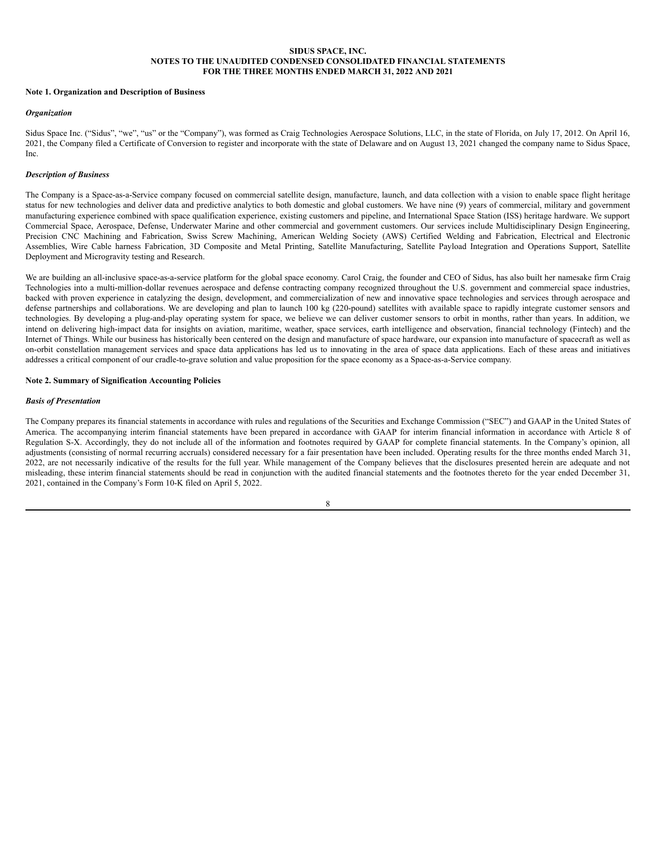## **SIDUS SPACE, INC. NOTES TO THE UNAUDITED CONDENSED CONSOLIDATED FINANCIAL STATEMENTS FOR THE THREE MONTHS ENDED MARCH 31, 2022 AND 2021**

#### <span id="page-7-0"></span>**Note 1. Organization and Description of Business**

#### *Organization*

Sidus Space Inc. ("Sidus", "we", "us" or the "Company"), was formed as Craig Technologies Aerospace Solutions, LLC, in the state of Florida, on July 17, 2012. On April 16, 2021, the Company filed a Certificate of Conversion to register and incorporate with the state of Delaware and on August 13, 2021 changed the company name to Sidus Space, Inc.

# *Description of Business*

The Company is a Space-as-a-Service company focused on commercial satellite design, manufacture, launch, and data collection with a vision to enable space flight heritage status for new technologies and deliver data and predictive analytics to both domestic and global customers. We have nine (9) years of commercial, military and government manufacturing experience combined with space qualification experience, existing customers and pipeline, and International Space Station (ISS) heritage hardware. We support Commercial Space, Aerospace, Defense, Underwater Marine and other commercial and government customers. Our services include Multidisciplinary Design Engineering, Precision CNC Machining and Fabrication, Swiss Screw Machining, American Welding Society (AWS) Certified Welding and Fabrication, Electrical and Electronic Assemblies, Wire Cable harness Fabrication, 3D Composite and Metal Printing, Satellite Manufacturing, Satellite Payload Integration and Operations Support, Satellite Deployment and Microgravity testing and Research.

We are building an all-inclusive space-as-a-service platform for the global space economy. Carol Craig, the founder and CEO of Sidus, has also built her namesake firm Craig Technologies into a multi-million-dollar revenues aerospace and defense contracting company recognized throughout the U.S. government and commercial space industries, backed with proven experience in catalyzing the design, development, and commercialization of new and innovative space technologies and services through aerospace and defense partnerships and collaborations. We are developing and plan to launch 100 kg (220-pound) satellites with available space to rapidly integrate customer sensors and technologies. By developing a plug-and-play operating system for space, we believe we can deliver customer sensors to orbit in months, rather than years. In addition, we intend on delivering high-impact data for insights on aviation, maritime, weather, space services, earth intelligence and observation, financial technology (Fintech) and the Internet of Things. While our business has historically been centered on the design and manufacture of space hardware, our expansion into manufacture of spacecraft as well as on-orbit constellation management services and space data applications has led us to innovating in the area of space data applications. Each of these areas and initiatives addresses a critical component of our cradle-to-grave solution and value proposition for the space economy as a Space-as-a-Service company.

## **Note 2. Summary of Signification Accounting Policies**

#### *Basis of Presentation*

The Company prepares its financial statements in accordance with rules and regulations of the Securities and Exchange Commission ("SEC") and GAAP in the United States of America. The accompanying interim financial statements have been prepared in accordance with GAAP for interim financial information in accordance with Article 8 of Regulation S-X. Accordingly, they do not include all of the information and footnotes required by GAAP for complete financial statements. In the Company's opinion, all adjustments (consisting of normal recurring accruals) considered necessary for a fair presentation have been included. Operating results for the three months ended March 31, 2022, are not necessarily indicative of the results for the full year. While management of the Company believes that the disclosures presented herein are adequate and not misleading, these interim financial statements should be read in conjunction with the audited financial statements and the footnotes thereto for the year ended December 31, 2021, contained in the Company's Form 10-K filed on April 5, 2022.

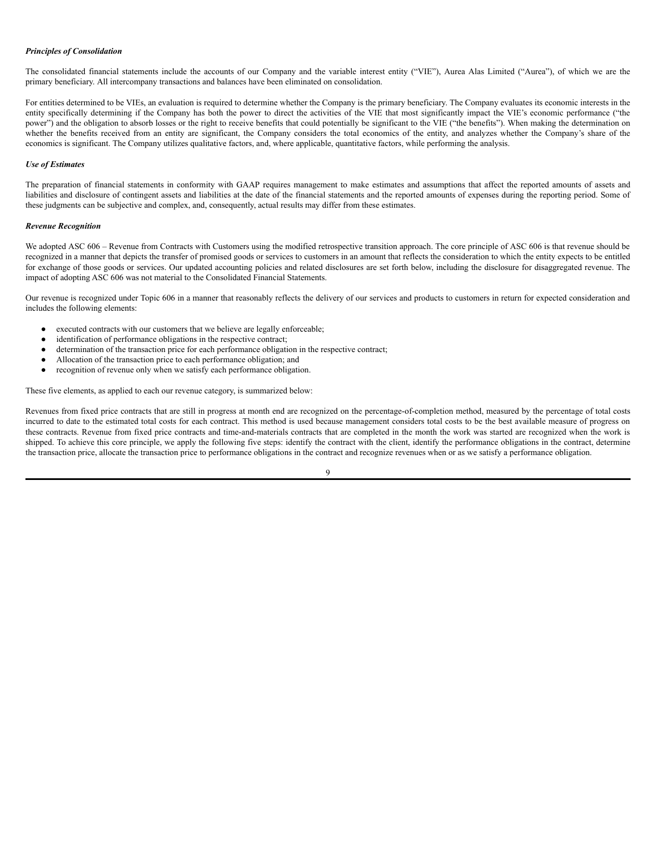## *Principles of Consolidation*

The consolidated financial statements include the accounts of our Company and the variable interest entity ("VIE"), Aurea Alas Limited ("Aurea"), of which we are the primary beneficiary. All intercompany transactions and balances have been eliminated on consolidation.

For entities determined to be VIEs, an evaluation is required to determine whether the Company is the primary beneficiary. The Company evaluates its economic interests in the entity specifically determining if the Company has both the power to direct the activities of the VIE that most significantly impact the VIE's economic performance ("the power") and the obligation to absorb losses or the right to receive benefits that could potentially be significant to the VIE ("the benefits"). When making the determination on whether the benefits received from an entity are significant, the Company considers the total economics of the entity, and analyzes whether the Company's share of the economics is significant. The Company utilizes qualitative factors, and, where applicable, quantitative factors, while performing the analysis.

## *Use of Estimates*

The preparation of financial statements in conformity with GAAP requires management to make estimates and assumptions that affect the reported amounts of assets and liabilities and disclosure of contingent assets and liabilities at the date of the financial statements and the reported amounts of expenses during the reporting period. Some of these judgments can be subjective and complex, and, consequently, actual results may differ from these estimates.

## *Revenue Recognition*

We adopted ASC 606 – Revenue from Contracts with Customers using the modified retrospective transition approach. The core principle of ASC 606 is that revenue should be recognized in a manner that depicts the transfer of promised goods or services to customers in an amount that reflects the consideration to which the entity expects to be entitled for exchange of those goods or services. Our updated accounting policies and related disclosures are set forth below, including the disclosure for disaggregated revenue. The impact of adopting ASC 606 was not material to the Consolidated Financial Statements.

Our revenue is recognized under Topic 606 in a manner that reasonably reflects the delivery of our services and products to customers in return for expected consideration and includes the following elements:

- executed contracts with our customers that we believe are legally enforceable;
- identification of performance obligations in the respective contract;
- determination of the transaction price for each performance obligation in the respective contract;
- Allocation of the transaction price to each performance obligation; and
- recognition of revenue only when we satisfy each performance obligation.

These five elements, as applied to each our revenue category, is summarized below:

Revenues from fixed price contracts that are still in progress at month end are recognized on the percentage-of-completion method, measured by the percentage of total costs incurred to date to the estimated total costs for each contract. This method is used because management considers total costs to be the best available measure of progress on these contracts. Revenue from fixed price contracts and time-and-materials contracts that are completed in the month the work was started are recognized when the work is shipped. To achieve this core principle, we apply the following five steps: identify the contract with the client, identify the performance obligations in the contract, determine the transaction price, allocate the transaction price to performance obligations in the contract and recognize revenues when or as we satisfy a performance obligation.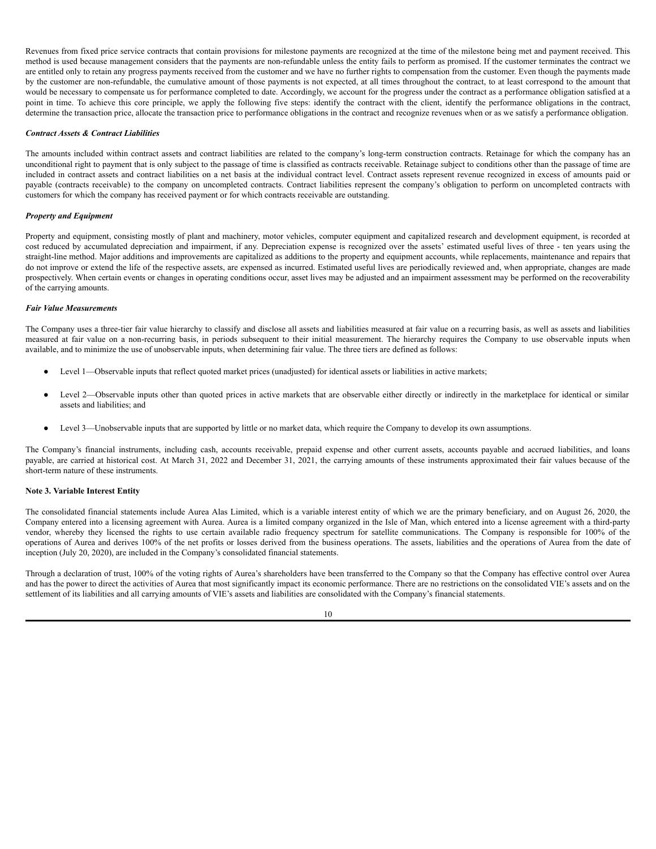Revenues from fixed price service contracts that contain provisions for milestone payments are recognized at the time of the milestone being met and payment received. This method is used because management considers that the payments are non-refundable unless the entity fails to perform as promised. If the customer terminates the contract we are entitled only to retain any progress payments received from the customer and we have no further rights to compensation from the customer. Even though the payments made by the customer are non-refundable, the cumulative amount of those payments is not expected, at all times throughout the contract, to at least correspond to the amount that would be necessary to compensate us for performance completed to date. Accordingly, we account for the progress under the contract as a performance obligation satisfied at a point in time. To achieve this core principle, we apply the following five steps: identify the contract with the client, identify the performance obligations in the contract, determine the transaction price, allocate the transaction price to performance obligations in the contract and recognize revenues when or as we satisfy a performance obligation.

## *Contract Assets & Contract Liabilities*

The amounts included within contract assets and contract liabilities are related to the company's long-term construction contracts. Retainage for which the company has an unconditional right to payment that is only subject to the passage of time is classified as contracts receivable. Retainage subject to conditions other than the passage of time are included in contract assets and contract liabilities on a net basis at the individual contract level. Contract assets represent revenue recognized in excess of amounts paid or payable (contracts receivable) to the company on uncompleted contracts. Contract liabilities represent the company's obligation to perform on uncompleted contracts with customers for which the company has received payment or for which contracts receivable are outstanding.

## *Property and Equipment*

Property and equipment, consisting mostly of plant and machinery, motor vehicles, computer equipment and capitalized research and development equipment, is recorded at cost reduced by accumulated depreciation and impairment, if any. Depreciation expense is recognized over the assets' estimated useful lives of three - ten years using the straight-line method. Major additions and improvements are capitalized as additions to the property and equipment accounts, while replacements, maintenance and repairs that do not improve or extend the life of the respective assets, are expensed as incurred. Estimated useful lives are periodically reviewed and, when appropriate, changes are made prospectively. When certain events or changes in operating conditions occur, asset lives may be adjusted and an impairment assessment may be performed on the recoverability of the carrying amounts.

## *Fair Value Measurements*

The Company uses a three-tier fair value hierarchy to classify and disclose all assets and liabilities measured at fair value on a recurring basis, as well as assets and liabilities measured at fair value on a non-recurring basis, in periods subsequent to their initial measurement. The hierarchy requires the Company to use observable inputs when available, and to minimize the use of unobservable inputs, when determining fair value. The three tiers are defined as follows:

- Level 1—Observable inputs that reflect quoted market prices (unadjusted) for identical assets or liabilities in active markets;
- Level 2—Observable inputs other than quoted prices in active markets that are observable either directly or indirectly in the marketplace for identical or similar assets and liabilities; and
- Level 3—Unobservable inputs that are supported by little or no market data, which require the Company to develop its own assumptions.

The Company's financial instruments, including cash, accounts receivable, prepaid expense and other current assets, accounts payable and accrued liabilities, and loans payable, are carried at historical cost. At March 31, 2022 and December 31, 2021, the carrying amounts of these instruments approximated their fair values because of the short-term nature of these instruments.

## **Note 3. Variable Interest Entity**

The consolidated financial statements include Aurea Alas Limited, which is a variable interest entity of which we are the primary beneficiary, and on August 26, 2020, the Company entered into a licensing agreement with Aurea. Aurea is a limited company organized in the Isle of Man, which entered into a license agreement with a third-party vendor, whereby they licensed the rights to use certain available radio frequency spectrum for satellite communications. The Company is responsible for 100% of the operations of Aurea and derives 100% of the net profits or losses derived from the business operations. The assets, liabilities and the operations of Aurea from the date of inception (July 20, 2020), are included in the Company's consolidated financial statements.

Through a declaration of trust, 100% of the voting rights of Aurea's shareholders have been transferred to the Company so that the Company has effective control over Aurea and has the power to direct the activities of Aurea that most significantly impact its economic performance. There are no restrictions on the consolidated VIE's assets and on the settlement of its liabilities and all carrying amounts of VIE's assets and liabilities are consolidated with the Company's financial statements.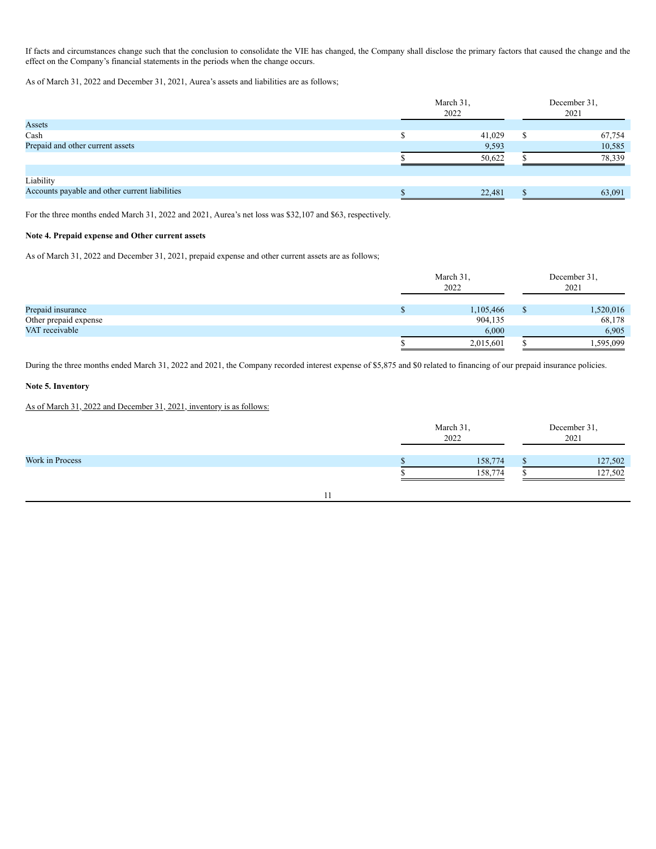If facts and circumstances change such that the conclusion to consolidate the VIE has changed, the Company shall disclose the primary factors that caused the change and the effect on the Company's financial statements in the periods when the change occurs.

As of March 31, 2022 and December 31, 2021, Aurea's assets and liabilities are as follows;

|                                                | March 31,<br>2022 |        |  | December 31,<br>2021 |  |  |
|------------------------------------------------|-------------------|--------|--|----------------------|--|--|
| Assets                                         |                   |        |  |                      |  |  |
| Cash                                           |                   | 41,029 |  | 67,754               |  |  |
| Prepaid and other current assets               |                   | 9,593  |  | 10,585               |  |  |
|                                                |                   | 50,622 |  | 78,339               |  |  |
|                                                |                   |        |  |                      |  |  |
| Liability                                      |                   |        |  |                      |  |  |
| Accounts payable and other current liabilities |                   | 22.481 |  | 63.091               |  |  |

For the three months ended March 31, 2022 and 2021, Aurea's net loss was \$32,107 and \$63, respectively.

# **Note 4. Prepaid expense and Other current assets**

As of March 31, 2022 and December 31, 2021, prepaid expense and other current assets are as follows;

|                       | March 31,<br>2022 |  | December 31,<br>2021 |  |
|-----------------------|-------------------|--|----------------------|--|
| Prepaid insurance     | 1,105,466         |  | 1,520,016            |  |
| Other prepaid expense | 904,135           |  | 68,178               |  |
| VAT receivable        | 6,000             |  | 6,905                |  |
|                       | 2,015,601         |  | .595,099             |  |

During the three months ended March 31, 2022 and 2021, the Company recorded interest expense of \$5,875 and \$0 related to financing of our prepaid insurance policies.

### **Note 5. Inventory**

# As of March 31, 2022 and December 31, 2021, inventory is as follows:

|                 |  | March 31,<br>2022 | December 31,<br>2021 |         |
|-----------------|--|-------------------|----------------------|---------|
| Work in Process |  | 158,774           |                      | 127,502 |
|                 |  | 158,774           |                      | 127,502 |
|                 |  |                   |                      |         |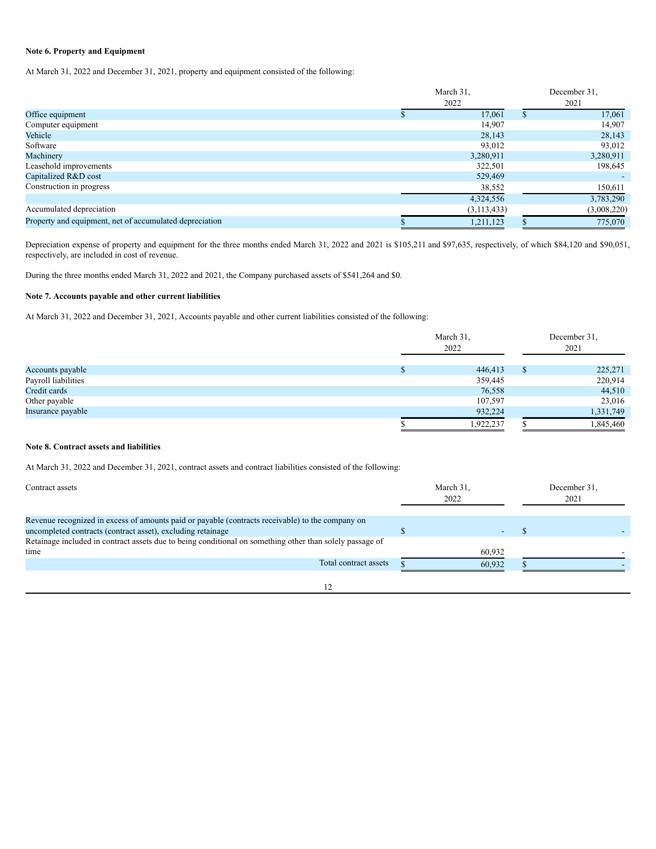# **Note 6. Property and Equipment**

At March 31, 2022 and December 31, 2021, property and equipment consisted of the following:

|                                                         | March 31. |               | December 31. |             |
|---------------------------------------------------------|-----------|---------------|--------------|-------------|
|                                                         |           | 2022          |              | 2021        |
| Office equipment                                        |           | 17.061        |              | 17,061      |
| Computer equipment                                      |           | 14,907        |              | 14,907      |
| Vehicle                                                 |           | 28,143        |              | 28,143      |
| Software                                                |           | 93,012        |              | 93,012      |
| Machinery                                               |           | 3,280,911     |              | 3,280,911   |
| Leasehold improvements                                  |           | 322,501       |              | 198,645     |
| Capitalized R&D cost                                    |           | 529,469       |              |             |
| Construction in progress                                |           | 38,552        |              | 150,611     |
|                                                         |           | 4,324,556     |              | 3,783,290   |
| Accumulated depreciation                                |           | (3, 113, 433) |              | (3,008,220) |
| Property and equipment, net of accumulated depreciation |           | 1,211,123     |              | 775,070     |

Depreciation expense of property and equipment for the three months ended March 31, 2022 and 2021 is \$105,211 and \$97,635, respectively, of which \$84,120 and \$90,051, respectively, are included in cost of revenue.

During the three months ended March 31, 2022 and 2021, the Company purchased assets of \$541,264 and \$0.

## **Note 7. Accounts payable and other current liabilities**

At March 31, 2022 and December 31, 2021, Accounts payable and other current liabilities consisted of the following:

|                     | March 31.<br>2022 |               | December 31,<br>2021 |  |
|---------------------|-------------------|---------------|----------------------|--|
| Accounts payable    | 446,413           | <sup>\$</sup> | 225,271              |  |
| Payroll liabilities | 359,445           |               | 220,914              |  |
| Credit cards        | 76,558            |               | 44,510               |  |
| Other payable       | 107,597           |               | 23,016               |  |
| Insurance payable   | 932,224           |               | 1,331,749            |  |
|                     | 1,922,237         |               | 1,845,460            |  |

# **Note 8. Contract assets and liabilities**

At March 31, 2022 and December 31, 2021, contract assets and contract liabilities consisted of the following:

| Contract assets                                                                                          | March 31.<br>2022 |        | December 31.<br>2021 |  |
|----------------------------------------------------------------------------------------------------------|-------------------|--------|----------------------|--|
| Revenue recognized in excess of amounts paid or payable (contracts receivable) to the company on         |                   |        |                      |  |
| uncompleted contracts (contract asset), excluding retainage                                              |                   |        |                      |  |
| Retainage included in contract assets due to being conditional on something other than solely passage of |                   |        |                      |  |
| time                                                                                                     |                   | 60,932 |                      |  |
| Total contract assets                                                                                    |                   | 60.932 |                      |  |
|                                                                                                          |                   |        |                      |  |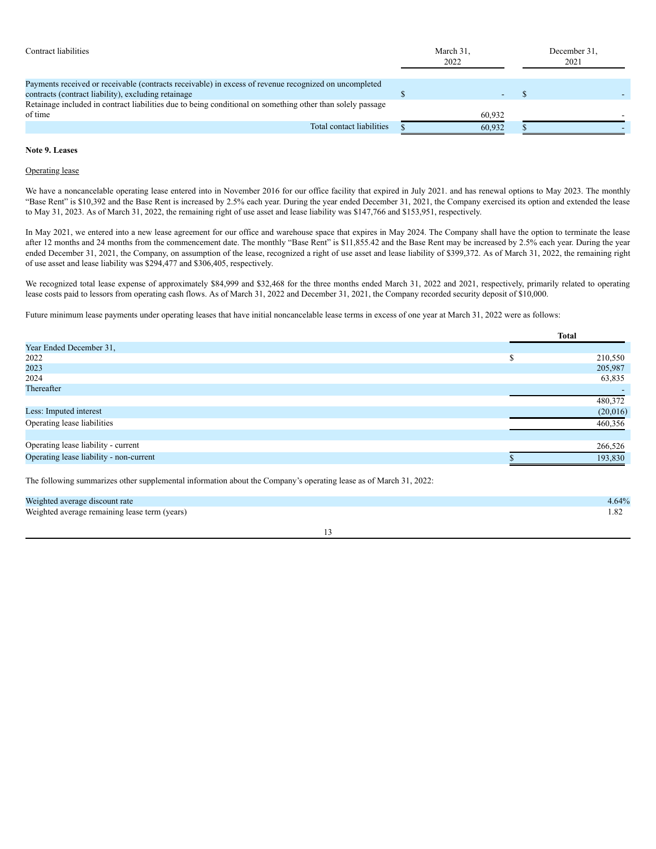| Contract liabilities                                                                                                                                         | March 31.<br>2022 |        | December 31.<br>2021 |  |  |
|--------------------------------------------------------------------------------------------------------------------------------------------------------------|-------------------|--------|----------------------|--|--|
| Payments received or receivable (contracts receivable) in excess of revenue recognized on uncompleted<br>contracts (contract liability), excluding retainage |                   |        |                      |  |  |
| Retainage included in contract liabilities due to being conditional on something other than solely passage                                                   |                   |        |                      |  |  |
| of time                                                                                                                                                      |                   | 60.932 |                      |  |  |
| Total contact liabilities                                                                                                                                    |                   | 60.932 |                      |  |  |

## **Note 9. Leases**

## Operating lease

We have a noncancelable operating lease entered into in November 2016 for our office facility that expired in July 2021. and has renewal options to May 2023. The monthly "Base Rent" is \$10,392 and the Base Rent is increased by 2.5% each year. During the year ended December 31, 2021, the Company exercised its option and extended the lease to May 31, 2023. As of March 31, 2022, the remaining right of use asset and lease liability was \$147,766 and \$153,951, respectively.

In May 2021, we entered into a new lease agreement for our office and warehouse space that expires in May 2024. The Company shall have the option to terminate the lease after 12 months and 24 months from the commencement date. The monthly "Base Rent" is \$11,855.42 and the Base Rent may be increased by 2.5% each year. During the year ended December 31, 2021, the Company, on assumption of the lease, recognized a right of use asset and lease liability of \$399,372. As of March 31, 2022, the remaining right of use asset and lease liability was \$294,477 and \$306,405, respectively.

We recognized total lease expense of approximately \$84,999 and \$32,468 for the three months ended March 31, 2022 and 2021, respectively, primarily related to operating lease costs paid to lessors from operating cash flows. As of March 31, 2022 and December 31, 2021, the Company recorded security deposit of \$10,000.

Future minimum lease payments under operating leases that have initial noncancelable lease terms in excess of one year at March 31, 2022 were as follows:

|                                         | <b>Total</b> |
|-----------------------------------------|--------------|
| Year Ended December 31,                 |              |
| 2022                                    | 210,550      |
| 2023                                    | 205,987      |
| 2024                                    | 63,835       |
| Thereafter                              |              |
|                                         | 480,372      |
| Less: Imputed interest                  | (20,016)     |
| Operating lease liabilities             | 460,356      |
|                                         |              |
| Operating lease liability - current     | 266,526      |
| Operating lease liability - non-current | 193,830      |

The following summarizes other supplemental information about the Company's operating lease as of March 31, 2022:

| Weighted average discount rate                | 4.64% |
|-----------------------------------------------|-------|
| Weighted average remaining lease term (years) |       |
|                                               |       |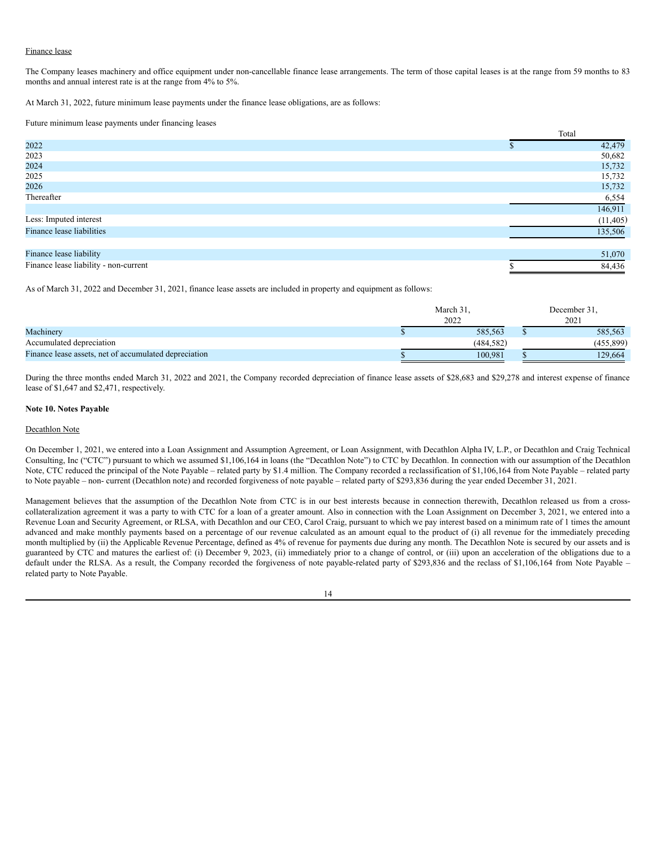# Finance lease

The Company leases machinery and office equipment under non-cancellable finance lease arrangements. The term of those capital leases is at the range from 59 months to 83 months and annual interest rate is at the range from 4% to 5%.

At March 31, 2022, future minimum lease payments under the finance lease obligations, are as follows:

Future minimum lease payments under financing leases

|                                       | Total     |
|---------------------------------------|-----------|
| 2022                                  | 42,479    |
| 2023                                  | 50,682    |
| 2024                                  | 15,732    |
| 2025                                  | 15,732    |
| 2026                                  | 15,732    |
| Thereafter                            | 6,554     |
|                                       | 146,911   |
| Less: Imputed interest                | (11, 405) |
| Finance lease liabilities             | 135,506   |
|                                       |           |
| Finance lease liability               | 51,070    |
| Finance lease liability - non-current | 84.436    |

As of March 31, 2022 and December 31, 2021, finance lease assets are included in property and equipment as follows:

|                                                       | March 31 |            |  | December 31. |
|-------------------------------------------------------|----------|------------|--|--------------|
|                                                       | 2022     |            |  | 2021         |
| Machinery                                             |          | 585,563    |  | 585,563      |
| Accumulated depreciation                              |          | (484, 582) |  | (455, 899)   |
| Finance lease assets, net of accumulated depreciation |          | 100.981    |  | 129.664      |

During the three months ended March 31, 2022 and 2021, the Company recorded depreciation of finance lease assets of \$28,683 and \$29,278 and interest expense of finance lease of \$1,647 and \$2,471, respectively.

#### **Note 10. Notes Payable**

#### Decathlon Note

On December 1, 2021, we entered into a Loan Assignment and Assumption Agreement, or Loan Assignment, with Decathlon Alpha IV, L.P., or Decathlon and Craig Technical Consulting, Inc ("CTC") pursuant to which we assumed \$1,106,164 in loans (the "Decathlon Note") to CTC by Decathlon. In connection with our assumption of the Decathlon Note, CTC reduced the principal of the Note Payable – related party by \$1.4 million. The Company recorded a reclassification of \$1,106,164 from Note Payable – related party to Note payable – non- current (Decathlon note) and recorded forgiveness of note payable – related party of \$293,836 during the year ended December 31, 2021.

Management believes that the assumption of the Decathlon Note from CTC is in our best interests because in connection therewith, Decathlon released us from a crosscollateralization agreement it was a party to with CTC for a loan of a greater amount. Also in connection with the Loan Assignment on December 3, 2021, we entered into a Revenue Loan and Security Agreement, or RLSA, with Decathlon and our CEO, Carol Craig, pursuant to which we pay interest based on a minimum rate of 1 times the amount advanced and make monthly payments based on a percentage of our revenue calculated as an amount equal to the product of (i) all revenue for the immediately preceding month multiplied by (ii) the Applicable Revenue Percentage, defined as 4% of revenue for payments due during any month. The Decathlon Note is secured by our assets and is guaranteed by CTC and matures the earliest of: (i) December 9, 2023, (ii) immediately prior to a change of control, or (iii) upon an acceleration of the obligations due to a default under the RLSA. As a result, the Company recorded the forgiveness of note payable-related party of \$293,836 and the reclass of \$1,106,164 from Note Payable – related party to Note Payable.

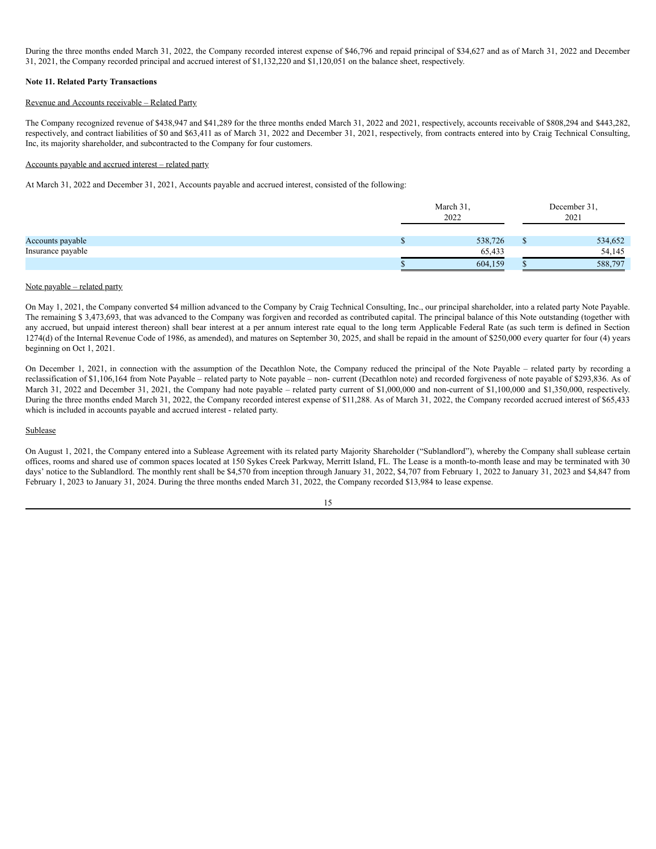During the three months ended March 31, 2022, the Company recorded interest expense of \$46,796 and repaid principal of \$34,627 and as of March 31, 2022 and December 31, 2021, the Company recorded principal and accrued interest of \$1,132,220 and \$1,120,051 on the balance sheet, respectively.

# **Note 11. Related Party Transactions**

## Revenue and Accounts receivable – Related Party

The Company recognized revenue of \$438,947 and \$41,289 for the three months ended March 31, 2022 and 2021, respectively, accounts receivable of \$808,294 and \$443,282, respectively, and contract liabilities of \$0 and \$63,411 as of March 31, 2022 and December 31, 2021, respectively, from contracts entered into by Craig Technical Consulting, Inc, its majority shareholder, and subcontracted to the Company for four customers.

# Accounts payable and accrued interest – related party

At March 31, 2022 and December 31, 2021, Accounts payable and accrued interest, consisted of the following:

|                   | March 31<br>2022 | December 31,<br>2021 |         |  |
|-------------------|------------------|----------------------|---------|--|
| Accounts payable  | 538,726          |                      | 534,652 |  |
| Insurance payable | 65,433           |                      | 54,145  |  |
|                   | 604,159          |                      | 588,797 |  |

### Note payable – related party

On May 1, 2021, the Company converted \$4 million advanced to the Company by Craig Technical Consulting, Inc., our principal shareholder, into a related party Note Payable. The remaining \$ 3,473,693, that was advanced to the Company was forgiven and recorded as contributed capital. The principal balance of this Note outstanding (together with any accrued, but unpaid interest thereon) shall bear interest at a per annum interest rate equal to the long term Applicable Federal Rate (as such term is defined in Section 1274(d) of the Internal Revenue Code of 1986, as amended), and matures on September 30, 2025, and shall be repaid in the amount of \$250,000 every quarter for four (4) years beginning on Oct 1, 2021.

On December 1, 2021, in connection with the assumption of the Decathlon Note, the Company reduced the principal of the Note Payable – related party by recording a reclassification of \$1,106,164 from Note Payable – related party to Note payable – non- current (Decathlon note) and recorded forgiveness of note payable of \$293,836. As of March 31, 2022 and December 31, 2021, the Company had note payable – related party current of \$1,000,000 and non-current of \$1,100,000 and \$1,350,000, respectively. During the three months ended March 31, 2022, the Company recorded interest expense of \$11,288. As of March 31, 2022, the Company recorded accrued interest of \$65,433 which is included in accounts payable and accrued interest - related party.

#### Sublease

On August 1, 2021, the Company entered into a Sublease Agreement with its related party Majority Shareholder ("Sublandlord"), whereby the Company shall sublease certain offices, rooms and shared use of common spaces located at 150 Sykes Creek Parkway, Merritt Island, FL. The Lease is a month-to-month lease and may be terminated with 30 days' notice to the Sublandlord. The monthly rent shall be \$4,570 from inception through January 31, 2022, \$4,707 from February 1, 2022 to January 31, 2023 and \$4,847 from February 1, 2023 to January 31, 2024. During the three months ended March 31, 2022, the Company recorded \$13,984 to lease expense.

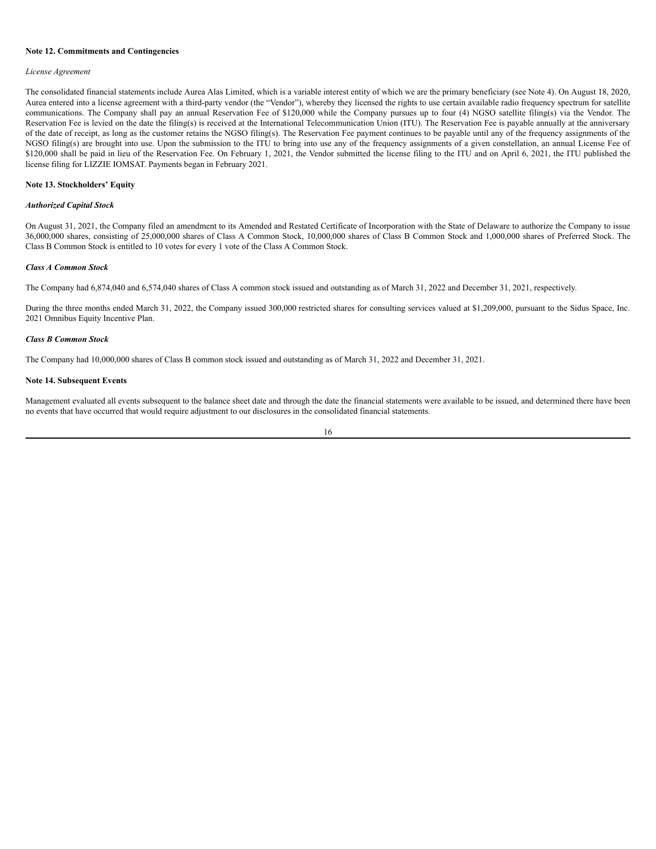### **Note 12. Commitments and Contingencies**

#### *License Agreement*

The consolidated financial statements include Aurea Alas Limited, which is a variable interest entity of which we are the primary beneficiary (see Note 4). On August 18, 2020, Aurea entered into a license agreement with a third-party vendor (the "Vendor"), whereby they licensed the rights to use certain available radio frequency spectrum for satellite communications. The Company shall pay an annual Reservation Fee of \$120,000 while the Company pursues up to four (4) NGSO satellite filing(s) via the Vendor. The Reservation Fee is levied on the date the filing(s) is received at the International Telecommunication Union (ITU). The Reservation Fee is payable annually at the anniversary of the date of receipt, as long as the customer retains the NGSO filing(s). The Reservation Fee payment continues to be payable until any of the frequency assignments of the NGSO filing(s) are brought into use. Upon the submission to the ITU to bring into use any of the frequency assignments of a given constellation, an annual License Fee of \$120,000 shall be paid in lieu of the Reservation Fee. On February 1, 2021, the Vendor submitted the license filing to the ITU and on April 6, 2021, the ITU published the license filing for LIZZIE IOMSAT. Payments began in February 2021.

# **Note 13. Stockholders' Equity**

## *Authorized Capital Stock*

On August 31, 2021, the Company filed an amendment to its Amended and Restated Certificate of Incorporation with the State of Delaware to authorize the Company to issue 36,000,000 shares, consisting of 25,000,000 shares of Class A Common Stock, 10,000,000 shares of Class B Common Stock and 1,000,000 shares of Preferred Stock. The Class B Common Stock is entitled to 10 votes for every 1 vote of the Class A Common Stock.

#### *Class A Common Stock*

The Company had 6,874,040 and 6,574,040 shares of Class A common stock issued and outstanding as of March 31, 2022 and December 31, 2021, respectively.

During the three months ended March 31, 2022, the Company issued 300,000 restricted shares for consulting services valued at \$1,209,000, pursuant to the Sidus Space, Inc. 2021 Omnibus Equity Incentive Plan.

#### *Class B Common Stock*

The Company had 10,000,000 shares of Class B common stock issued and outstanding as of March 31, 2022 and December 31, 2021.

#### **Note 14. Subsequent Events**

Management evaluated all events subsequent to the balance sheet date and through the date the financial statements were available to be issued, and determined there have been no events that have occurred that would require adjustment to our disclosures in the consolidated financial statements.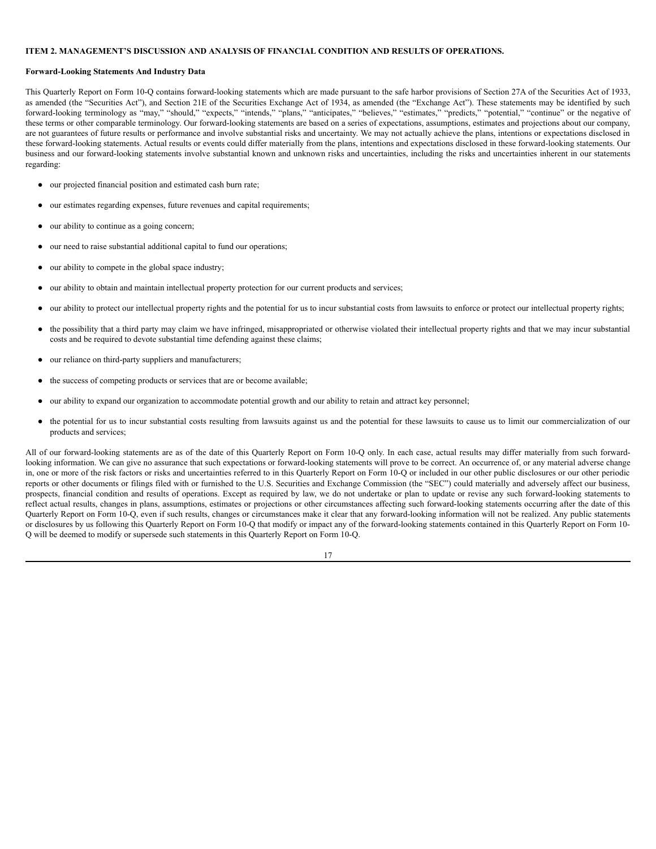### <span id="page-16-0"></span>**ITEM 2. MANAGEMENT'S DISCUSSION AND ANALYSIS OF FINANCIAL CONDITION AND RESULTS OF OPERATIONS.**

#### **Forward-Looking Statements And Industry Data**

This Quarterly Report on Form 10-Q contains forward-looking statements which are made pursuant to the safe harbor provisions of Section 27A of the Securities Act of 1933, as amended (the "Securities Act"), and Section 21E of the Securities Exchange Act of 1934, as amended (the "Exchange Act"). These statements may be identified by such forward-looking terminology as "may," "should," "expects," "intends," "plans," "anticipates," "believes," "estimates," "predicts," "potential," "continue" or the negative of these terms or other comparable terminology. Our forward-looking statements are based on a series of expectations, assumptions, estimates and projections about our company, are not guarantees of future results or performance and involve substantial risks and uncertainty. We may not actually achieve the plans, intentions or expectations disclosed in these forward-looking statements. Actual results or events could differ materially from the plans, intentions and expectations disclosed in these forward-looking statements. Our business and our forward-looking statements involve substantial known and unknown risks and uncertainties, including the risks and uncertainties inherent in our statements regarding:

- our projected financial position and estimated cash burn rate;
- our estimates regarding expenses, future revenues and capital requirements;
- our ability to continue as a going concern;
- our need to raise substantial additional capital to fund our operations;
- our ability to compete in the global space industry;
- our ability to obtain and maintain intellectual property protection for our current products and services;
- our ability to protect our intellectual property rights and the potential for us to incur substantial costs from lawsuits to enforce or protect our intellectual property rights;
- the possibility that a third party may claim we have infringed, misappropriated or otherwise violated their intellectual property rights and that we may incur substantial costs and be required to devote substantial time defending against these claims;
- our reliance on third-party suppliers and manufacturers;
- the success of competing products or services that are or become available;
- our ability to expand our organization to accommodate potential growth and our ability to retain and attract key personnel;
- the potential for us to incur substantial costs resulting from lawsuits against us and the potential for these lawsuits to cause us to limit our commercialization of our products and services;

All of our forward-looking statements are as of the date of this Quarterly Report on Form 10-Q only. In each case, actual results may differ materially from such forwardlooking information. We can give no assurance that such expectations or forward-looking statements will prove to be correct. An occurrence of, or any material adverse change in, one or more of the risk factors or risks and uncertainties referred to in this Quarterly Report on Form 10-Q or included in our other public disclosures or our other periodic reports or other documents or filings filed with or furnished to the U.S. Securities and Exchange Commission (the "SEC") could materially and adversely affect our business, prospects, financial condition and results of operations. Except as required by law, we do not undertake or plan to update or revise any such forward-looking statements to reflect actual results, changes in plans, assumptions, estimates or projections or other circumstances affecting such forward-looking statements occurring after the date of this Quarterly Report on Form 10-Q, even if such results, changes or circumstances make it clear that any forward-looking information will not be realized. Any public statements or disclosures by us following this Quarterly Report on Form 10-Q that modify or impact any of the forward-looking statements contained in this Quarterly Report on Form 10- Q will be deemed to modify or supersede such statements in this Quarterly Report on Form 10-Q.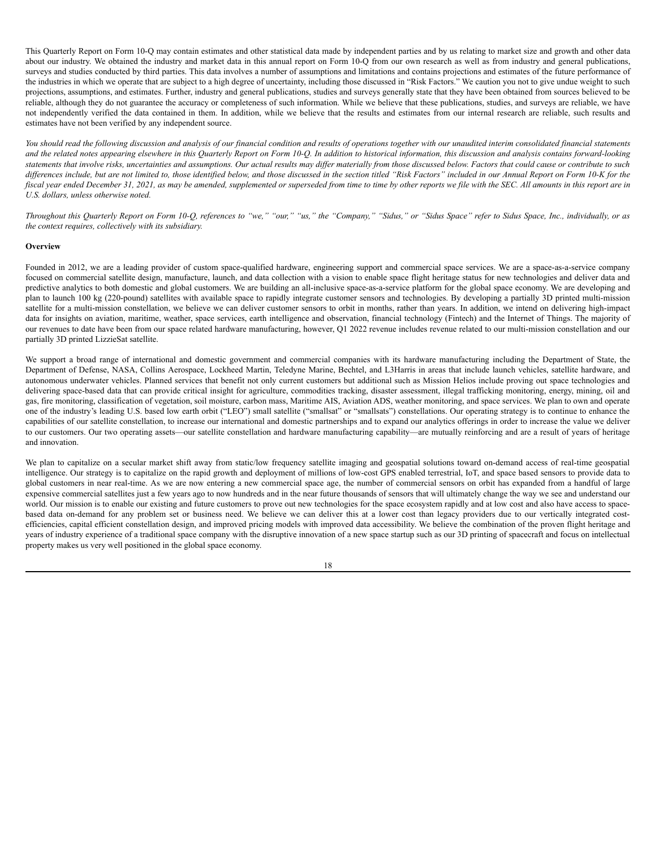This Quarterly Report on Form 10-Q may contain estimates and other statistical data made by independent parties and by us relating to market size and growth and other data about our industry. We obtained the industry and market data in this annual report on Form 10-Q from our own research as well as from industry and general publications, surveys and studies conducted by third parties. This data involves a number of assumptions and limitations and contains projections and estimates of the future performance of the industries in which we operate that are subject to a high degree of uncertainty, including those discussed in "Risk Factors." We caution you not to give undue weight to such projections, assumptions, and estimates. Further, industry and general publications, studies and surveys generally state that they have been obtained from sources believed to be reliable, although they do not guarantee the accuracy or completeness of such information. While we believe that these publications, studies, and surveys are reliable, we have not independently verified the data contained in them. In addition, while we believe that the results and estimates from our internal research are reliable, such results and estimates have not been verified by any independent source.

You should read the following discussion and analysis of our financial condition and results of operations together with our unaudited interim consolidated financial statements and the related notes appearing elsewhere in this Quarterly Report on Form 10-Q. In addition to historical information, this discussion and analysis contains forward-looking statements that involve risks, uncertainties and assumptions. Our actual results may differ materially from those discussed below. Factors that could cause or contribute to such differences include, but are not limited to, those identified below, and those discussed in the section titled "Risk Factors" included in our Annual Report on Form 10-K for the fiscal year ended December 31, 2021, as may be amended, supplemented or superseded from time to time by other reports we file with the SEC. All amounts in this report are in *U.S. dollars, unless otherwise noted.*

Throughout this Quarterly Report on Form 10-Q, references to "we," "our," "us," the "Company," "Sidus," or "Sidus Space" refer to Sidus Space, Inc., individually, or as *the context requires, collectively with its subsidiary.*

## **Overview**

Founded in 2012, we are a leading provider of custom space-qualified hardware, engineering support and commercial space services. We are a space-as-a-service company focused on commercial satellite design, manufacture, launch, and data collection with a vision to enable space flight heritage status for new technologies and deliver data and predictive analytics to both domestic and global customers. We are building an all-inclusive space-as-a-service platform for the global space economy. We are developing and plan to launch 100 kg (220-pound) satellites with available space to rapidly integrate customer sensors and technologies. By developing a partially 3D printed multi-mission satellite for a multi-mission constellation, we believe we can deliver customer sensors to orbit in months, rather than years. In addition, we intend on delivering high-impact data for insights on aviation, maritime, weather, space services, earth intelligence and observation, financial technology (Fintech) and the Internet of Things. The majority of our revenues to date have been from our space related hardware manufacturing, however, Q1 2022 revenue includes revenue related to our multi-mission constellation and our partially 3D printed LizzieSat satellite.

We support a broad range of international and domestic government and commercial companies with its hardware manufacturing including the Department of State, the Department of Defense, NASA, Collins Aerospace, Lockheed Martin, Teledyne Marine, Bechtel, and L3Harris in areas that include launch vehicles, satellite hardware, and autonomous underwater vehicles. Planned services that benefit not only current customers but additional such as Mission Helios include proving out space technologies and delivering space-based data that can provide critical insight for agriculture, commodities tracking, disaster assessment, illegal trafficking monitoring, energy, mining, oil and gas, fire monitoring, classification of vegetation, soil moisture, carbon mass, Maritime AIS, Aviation ADS, weather monitoring, and space services. We plan to own and operate one of the industry's leading U.S. based low earth orbit ("LEO") small satellite ("smallsat" or "smallsats") constellations. Our operating strategy is to continue to enhance the capabilities of our satellite constellation, to increase our international and domestic partnerships and to expand our analytics offerings in order to increase the value we deliver to our customers. Our two operating assets—our satellite constellation and hardware manufacturing capability—are mutually reinforcing and are a result of years of heritage and innovation.

We plan to capitalize on a secular market shift away from static/low frequency satellite imaging and geospatial solutions toward on-demand access of real-time geospatial intelligence. Our strategy is to capitalize on the rapid growth and deployment of millions of low-cost GPS enabled terrestrial, IoT, and space based sensors to provide data to global customers in near real-time. As we are now entering a new commercial space age, the number of commercial sensors on orbit has expanded from a handful of large expensive commercial satellites just a few years ago to now hundreds and in the near future thousands of sensors that will ultimately change the way we see and understand our world. Our mission is to enable our existing and future customers to prove out new technologies for the space ecosystem rapidly and at low cost and also have access to spacebased data on-demand for any problem set or business need. We believe we can deliver this at a lower cost than legacy providers due to our vertically integrated costefficiencies, capital efficient constellation design, and improved pricing models with improved data accessibility. We believe the combination of the proven flight heritage and years of industry experience of a traditional space company with the disruptive innovation of a new space startup such as our 3D printing of spacecraft and focus on intellectual property makes us very well positioned in the global space economy.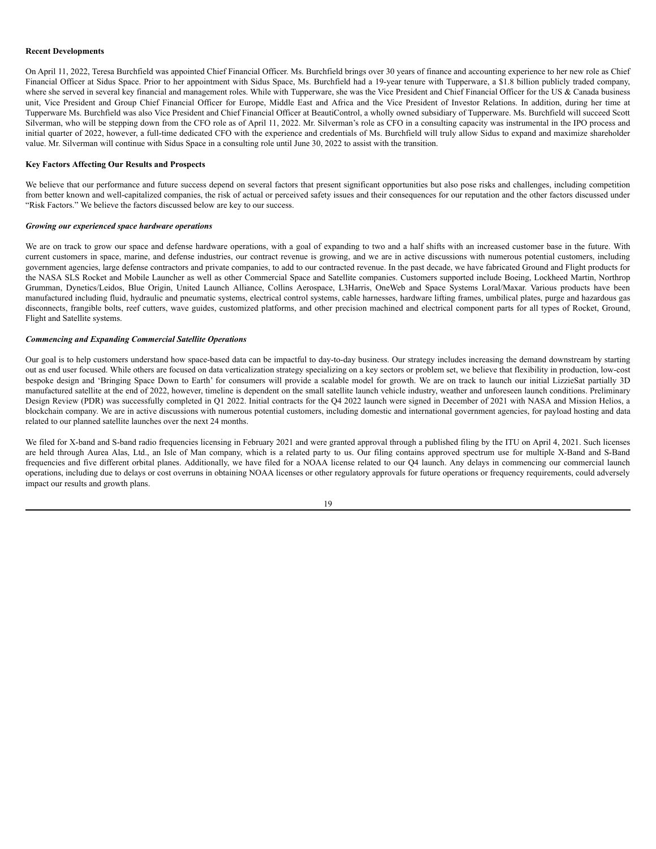#### **Recent Developments**

On April 11, 2022, Teresa Burchfield was appointed Chief Financial Officer. Ms. Burchfield brings over 30 years of finance and accounting experience to her new role as Chief Financial Officer at Sidus Space. Prior to her appointment with Sidus Space, Ms. Burchfield had a 19-year tenure with Tupperware, a \$1.8 billion publicly traded company, where she served in several key financial and management roles. While with Tupperware, she was the Vice President and Chief Financial Officer for the US & Canada business unit, Vice President and Group Chief Financial Officer for Europe, Middle East and Africa and the Vice President of Investor Relations. In addition, during her time at Tupperware Ms. Burchfield was also Vice President and Chief Financial Officer at BeautiControl, a wholly owned subsidiary of Tupperware. Ms. Burchfield will succeed Scott Silverman, who will be stepping down from the CFO role as of April 11, 2022. Mr. Silverman's role as CFO in a consulting capacity was instrumental in the IPO process and initial quarter of 2022, however, a full-time dedicated CFO with the experience and credentials of Ms. Burchfield will truly allow Sidus to expand and maximize shareholder value. Mr. Silverman will continue with Sidus Space in a consulting role until June 30, 2022 to assist with the transition.

# **Key Factors Affecting Our Results and Prospects**

We believe that our performance and future success depend on several factors that present significant opportunities but also pose risks and challenges, including competition from better known and well-capitalized companies, the risk of actual or perceived safety issues and their consequences for our reputation and the other factors discussed under "Risk Factors." We believe the factors discussed below are key to our success.

#### *Growing our experienced space hardware operations*

We are on track to grow our space and defense hardware operations, with a goal of expanding to two and a half shifts with an increased customer base in the future. With current customers in space, marine, and defense industries, our contract revenue is growing, and we are in active discussions with numerous potential customers, including government agencies, large defense contractors and private companies, to add to our contracted revenue. In the past decade, we have fabricated Ground and Flight products for the NASA SLS Rocket and Mobile Launcher as well as other Commercial Space and Satellite companies. Customers supported include Boeing, Lockheed Martin, Northrop Grumman, Dynetics/Leidos, Blue Origin, United Launch Alliance, Collins Aerospace, L3Harris, OneWeb and Space Systems Loral/Maxar. Various products have been manufactured including fluid, hydraulic and pneumatic systems, electrical control systems, cable harnesses, hardware lifting frames, umbilical plates, purge and hazardous gas disconnects, frangible bolts, reef cutters, wave guides, customized platforms, and other precision machined and electrical component parts for all types of Rocket, Ground, Flight and Satellite systems.

## *Commencing and Expanding Commercial Satellite Operations*

Our goal is to help customers understand how space-based data can be impactful to day-to-day business. Our strategy includes increasing the demand downstream by starting out as end user focused. While others are focused on data verticalization strategy specializing on a key sectors or problem set, we believe that flexibility in production, low-cost bespoke design and 'Bringing Space Down to Earth' for consumers will provide a scalable model for growth. We are on track to launch our initial LizzieSat partially 3D manufactured satellite at the end of 2022, however, timeline is dependent on the small satellite launch vehicle industry, weather and unforeseen launch conditions. Preliminary Design Review (PDR) was successfully completed in Q1 2022. Initial contracts for the Q4 2022 launch were signed in December of 2021 with NASA and Mission Helios, a blockchain company. We are in active discussions with numerous potential customers, including domestic and international government agencies, for payload hosting and data related to our planned satellite launches over the next 24 months.

We filed for X-band and S-band radio frequencies licensing in February 2021 and were granted approval through a published filing by the ITU on April 4, 2021. Such licenses are held through Aurea Alas, Ltd., an Isle of Man company, which is a related party to us. Our filing contains approved spectrum use for multiple X-Band and S-Band frequencies and five different orbital planes. Additionally, we have filed for a NOAA license related to our Q4 launch. Any delays in commencing our commercial launch operations, including due to delays or cost overruns in obtaining NOAA licenses or other regulatory approvals for future operations or frequency requirements, could adversely impact our results and growth plans.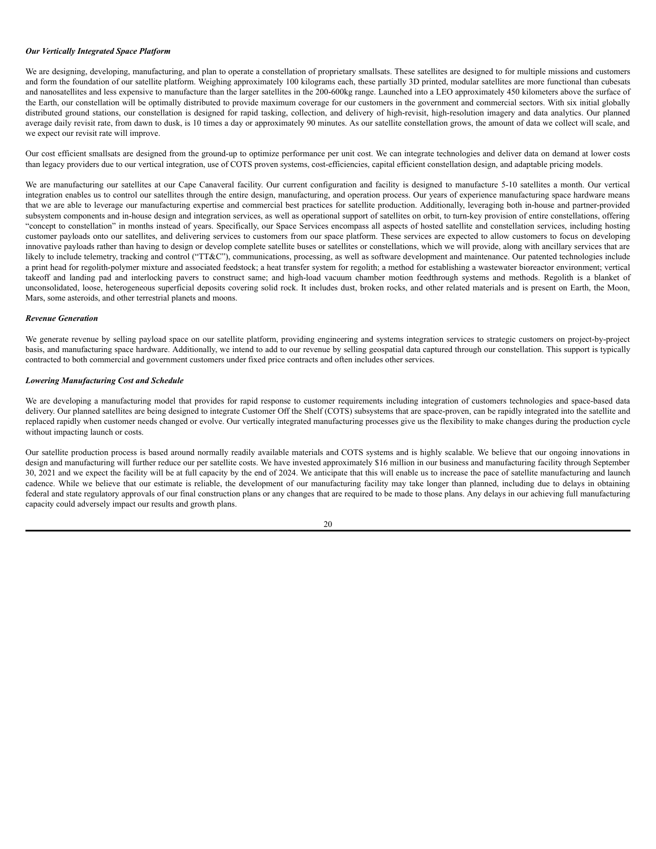## *Our Vertically Integrated Space Platform*

We are designing, developing, manufacturing, and plan to operate a constellation of proprietary smallsats. These satellites are designed to for multiple missions and customers and form the foundation of our satellite platform. Weighing approximately 100 kilograms each, these partially 3D printed, modular satellites are more functional than cubesats and nanosatellites and less expensive to manufacture than the larger satellites in the 200-600kg range. Launched into a LEO approximately 450 kilometers above the surface of the Earth, our constellation will be optimally distributed to provide maximum coverage for our customers in the government and commercial sectors. With six initial globally distributed ground stations, our constellation is designed for rapid tasking, collection, and delivery of high-revisit, high-resolution imagery and data analytics. Our planned average daily revisit rate, from dawn to dusk, is 10 times a day or approximately 90 minutes. As our satellite constellation grows, the amount of data we collect will scale, and we expect our revisit rate will improve.

Our cost efficient smallsats are designed from the ground-up to optimize performance per unit cost. We can integrate technologies and deliver data on demand at lower costs than legacy providers due to our vertical integration, use of COTS proven systems, cost-efficiencies, capital efficient constellation design, and adaptable pricing models.

We are manufacturing our satellites at our Cape Canaveral facility. Our current configuration and facility is designed to manufacture 5-10 satellites a month. Our vertical integration enables us to control our satellites through the entire design, manufacturing, and operation process. Our years of experience manufacturing space hardware means that we are able to leverage our manufacturing expertise and commercial best practices for satellite production. Additionally, leveraging both in-house and partner-provided subsystem components and in-house design and integration services, as well as operational support of satellites on orbit, to turn-key provision of entire constellations, offering "concept to constellation" in months instead of years. Specifically, our Space Services encompass all aspects of hosted satellite and constellation services, including hosting customer payloads onto our satellites, and delivering services to customers from our space platform. These services are expected to allow customers to focus on developing innovative payloads rather than having to design or develop complete satellite buses or satellites or constellations, which we will provide, along with ancillary services that are likely to include telemetry, tracking and control ("TT&C"), communications, processing, as well as software development and maintenance. Our patented technologies include a print head for regolith-polymer mixture and associated feedstock; a heat transfer system for regolith; a method for establishing a wastewater bioreactor environment; vertical takeoff and landing pad and interlocking pavers to construct same; and high-load vacuum chamber motion feedthrough systems and methods. Regolith is a blanket of unconsolidated, loose, heterogeneous superficial deposits covering solid rock. It includes dust, broken rocks, and other related materials and is present on Earth, the Moon, Mars, some asteroids, and other terrestrial planets and moons.

#### *Revenue Generation*

We generate revenue by selling payload space on our satellite platform, providing engineering and systems integration services to strategic customers on project-by-project basis, and manufacturing space hardware. Additionally, we intend to add to our revenue by selling geospatial data captured through our constellation. This support is typically contracted to both commercial and government customers under fixed price contracts and often includes other services.

### *Lowering Manufacturing Cost and Schedule*

We are developing a manufacturing model that provides for rapid response to customer requirements including integration of customers technologies and space-based data delivery. Our planned satellites are being designed to integrate Customer Off the Shelf (COTS) subsystems that are space-proven, can be rapidly integrated into the satellite and replaced rapidly when customer needs changed or evolve. Our vertically integrated manufacturing processes give us the flexibility to make changes during the production cycle without impacting launch or costs.

Our satellite production process is based around normally readily available materials and COTS systems and is highly scalable. We believe that our ongoing innovations in design and manufacturing will further reduce our per satellite costs. We have invested approximately \$16 million in our business and manufacturing facility through September 30, 2021 and we expect the facility will be at full capacity by the end of 2024. We anticipate that this will enable us to increase the pace of satellite manufacturing and launch cadence. While we believe that our estimate is reliable, the development of our manufacturing facility may take longer than planned, including due to delays in obtaining federal and state regulatory approvals of our final construction plans or any changes that are required to be made to those plans. Any delays in our achieving full manufacturing capacity could adversely impact our results and growth plans.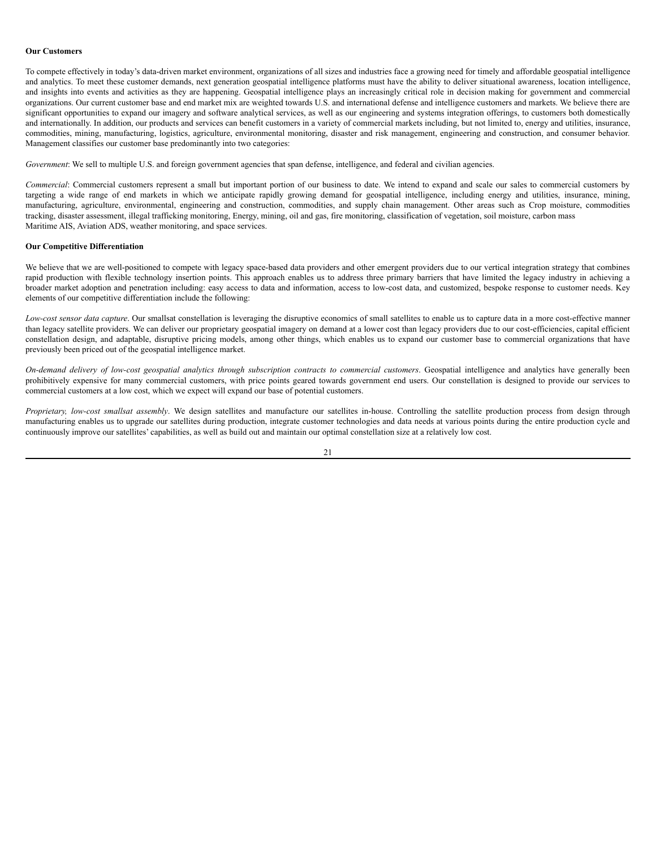#### **Our Customers**

To compete effectively in today's data-driven market environment, organizations of all sizes and industries face a growing need for timely and affordable geospatial intelligence and analytics. To meet these customer demands, next generation geospatial intelligence platforms must have the ability to deliver situational awareness, location intelligence, and insights into events and activities as they are happening. Geospatial intelligence plays an increasingly critical role in decision making for government and commercial organizations. Our current customer base and end market mix are weighted towards U.S. and international defense and intelligence customers and markets. We believe there are significant opportunities to expand our imagery and software analytical services, as well as our engineering and systems integration offerings, to customers both domestically and internationally. In addition, our products and services can benefit customers in a variety of commercial markets including, but not limited to, energy and utilities, insurance, commodities, mining, manufacturing, logistics, agriculture, environmental monitoring, disaster and risk management, engineering and construction, and consumer behavior. Management classifies our customer base predominantly into two categories:

*Government*: We sell to multiple U.S. and foreign government agencies that span defense, intelligence, and federal and civilian agencies.

*Commercial*: Commercial customers represent a small but important portion of our business to date. We intend to expand and scale our sales to commercial customers by targeting a wide range of end markets in which we anticipate rapidly growing demand for geospatial intelligence, including energy and utilities, insurance, mining, manufacturing, agriculture, environmental, engineering and construction, commodities, and supply chain management. Other areas such as Crop moisture, commodities tracking, disaster assessment, illegal trafficking monitoring, Energy, mining, oil and gas, fire monitoring, classification of vegetation, soil moisture, carbon mass Maritime AIS, Aviation ADS, weather monitoring, and space services.

## **Our Competitive Differentiation**

We believe that we are well-positioned to compete with legacy space-based data providers and other emergent providers due to our vertical integration strategy that combines rapid production with flexible technology insertion points. This approach enables us to address three primary barriers that have limited the legacy industry in achieving a broader market adoption and penetration including: easy access to data and information, access to low-cost data, and customized, bespoke response to customer needs. Key elements of our competitive differentiation include the following:

*Low-cost sensor data capture*. Our smallsat constellation is leveraging the disruptive economics of small satellites to enable us to capture data in a more cost-effective manner than legacy satellite providers. We can deliver our proprietary geospatial imagery on demand at a lower cost than legacy providers due to our cost-efficiencies, capital efficient constellation design, and adaptable, disruptive pricing models, among other things, which enables us to expand our customer base to commercial organizations that have previously been priced out of the geospatial intelligence market.

On-demand delivery of low-cost geospatial analytics through subscription contracts to commercial customers. Geospatial intelligence and analytics have generally been prohibitively expensive for many commercial customers, with price points geared towards government end users. Our constellation is designed to provide our services to commercial customers at a low cost, which we expect will expand our base of potential customers.

*Proprietary, low-cost smallsat assembly*. We design satellites and manufacture our satellites in-house. Controlling the satellite production process from design through manufacturing enables us to upgrade our satellites during production, integrate customer technologies and data needs at various points during the entire production cycle and continuously improve our satellites' capabilities, as well as build out and maintain our optimal constellation size at a relatively low cost.

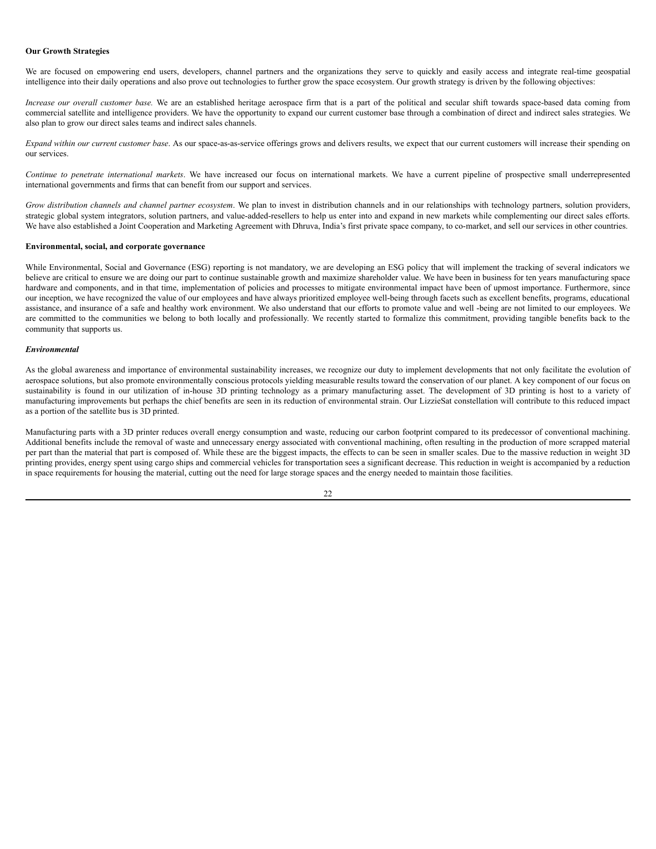## **Our Growth Strategies**

We are focused on empowering end users, developers, channel partners and the organizations they serve to quickly and easily access and integrate real-time geospatial intelligence into their daily operations and also prove out technologies to further grow the space ecosystem. Our growth strategy is driven by the following objectives:

*Increase our overall customer base.* We are an established heritage aerospace firm that is a part of the political and secular shift towards space-based data coming from commercial satellite and intelligence providers. We have the opportunity to expand our current customer base through a combination of direct and indirect sales strategies. We also plan to grow our direct sales teams and indirect sales channels.

*Expand within our current customer base*. As our space-as-as-service offerings grows and delivers results, we expect that our current customers will increase their spending on our services.

*Continue to penetrate international markets*. We have increased our focus on international markets. We have a current pipeline of prospective small underrepresented international governments and firms that can benefit from our support and services.

*Grow distribution channels and channel partner ecosystem*. We plan to invest in distribution channels and in our relationships with technology partners, solution providers, strategic global system integrators, solution partners, and value-added-resellers to help us enter into and expand in new markets while complementing our direct sales efforts. We have also established a Joint Cooperation and Marketing Agreement with Dhruva, India's first private space company, to co-market, and sell our services in other countries.

### **Environmental, social, and corporate governance**

While Environmental, Social and Governance (ESG) reporting is not mandatory, we are developing an ESG policy that will implement the tracking of several indicators we believe are critical to ensure we are doing our part to continue sustainable growth and maximize shareholder value. We have been in business for ten years manufacturing space hardware and components, and in that time, implementation of policies and processes to mitigate environmental impact have been of upmost importance. Furthermore, since our inception, we have recognized the value of our employees and have always prioritized employee well-being through facets such as excellent benefits, programs, educational assistance, and insurance of a safe and healthy work environment. We also understand that our efforts to promote value and well -being are not limited to our employees. We are committed to the communities we belong to both locally and professionally. We recently started to formalize this commitment, providing tangible benefits back to the community that supports us.

#### *Environmental*

As the global awareness and importance of environmental sustainability increases, we recognize our duty to implement developments that not only facilitate the evolution of aerospace solutions, but also promote environmentally conscious protocols yielding measurable results toward the conservation of our planet. A key component of our focus on sustainability is found in our utilization of in-house 3D printing technology as a primary manufacturing asset. The development of 3D printing is host to a variety of manufacturing improvements but perhaps the chief benefits are seen in its reduction of environmental strain. Our LizzieSat constellation will contribute to this reduced impact as a portion of the satellite bus is 3D printed.

Manufacturing parts with a 3D printer reduces overall energy consumption and waste, reducing our carbon footprint compared to its predecessor of conventional machining. Additional benefits include the removal of waste and unnecessary energy associated with conventional machining, often resulting in the production of more scrapped material per part than the material that part is composed of. While these are the biggest impacts, the effects to can be seen in smaller scales. Due to the massive reduction in weight 3D printing provides, energy spent using cargo ships and commercial vehicles for transportation sees a significant decrease. This reduction in weight is accompanied by a reduction in space requirements for housing the material, cutting out the need for large storage spaces and the energy needed to maintain those facilities.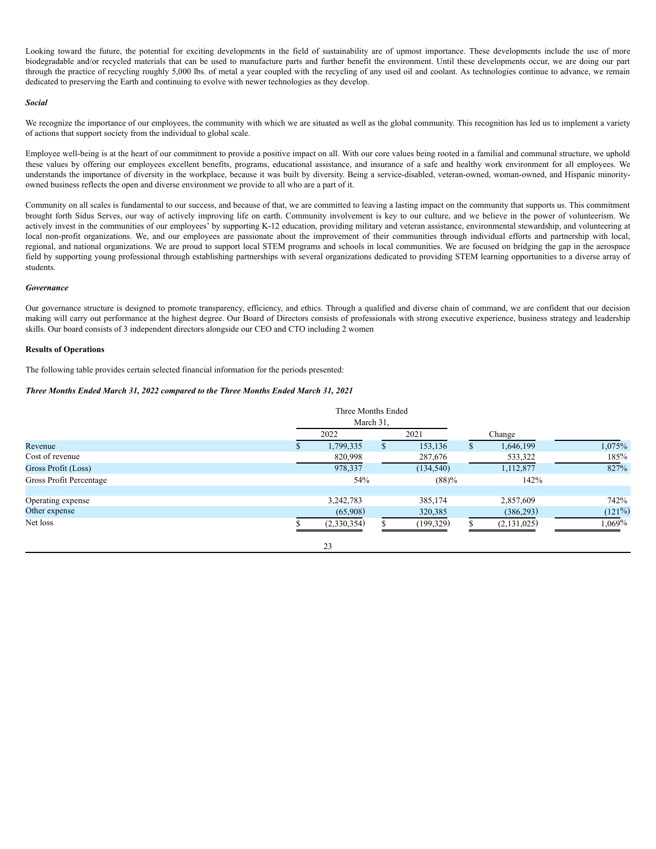Looking toward the future, the potential for exciting developments in the field of sustainability are of upmost importance. These developments include the use of more biodegradable and/or recycled materials that can be used to manufacture parts and further benefit the environment. Until these developments occur, we are doing our part through the practice of recycling roughly 5,000 lbs. of metal a year coupled with the recycling of any used oil and coolant. As technologies continue to advance, we remain dedicated to preserving the Earth and continuing to evolve with newer technologies as they develop.

#### *Social*

We recognize the importance of our employees, the community with which we are situated as well as the global community. This recognition has led us to implement a variety of actions that support society from the individual to global scale.

Employee well-being is at the heart of our commitment to provide a positive impact on all. With our core values being rooted in a familial and communal structure, we uphold these values by offering our employees excellent benefits, programs, educational assistance, and insurance of a safe and healthy work environment for all employees. We understands the importance of diversity in the workplace, because it was built by diversity. Being a service-disabled, veteran-owned, woman-owned, and Hispanic minorityowned business reflects the open and diverse environment we provide to all who are a part of it.

Community on all scales is fundamental to our success, and because of that, we are committed to leaving a lasting impact on the community that supports us. This commitment brought forth Sidus Serves, our way of actively improving life on earth. Community involvement is key to our culture, and we believe in the power of volunteerism. We actively invest in the communities of our employees' by supporting K-12 education, providing military and veteran assistance, environmental stewardship, and volunteering at local non-profit organizations. We, and our employees are passionate about the improvement of their communities through individual efforts and partnership with local, regional, and national organizations. We are proud to support local STEM programs and schools in local communities. We are focused on bridging the gap in the aerospace field by supporting young professional through establishing partnerships with several organizations dedicated to providing STEM learning opportunities to a diverse array of students.

#### *Governance*

Our governance structure is designed to promote transparency, efficiency, and ethics. Through a qualified and diverse chain of command, we are confident that our decision making will carry out performance at the highest degree. Our Board of Directors consists of professionals with strong executive experience, business strategy and leadership skills. Our board consists of 3 independent directors alongside our CEO and CTO including 2 women

#### **Results of Operations**

The following table provides certain selected financial information for the periods presented:

## *Three Months Ended March 31, 2022 compared to the Three Months Ended March 31, 2021*

|                         | Three Months Ended<br>March 31. |   |            |             |           |
|-------------------------|---------------------------------|---|------------|-------------|-----------|
|                         | 2022                            |   | 2021       | Change      |           |
| Revenue                 | 1,799,335                       | D | 153,136    | 1,646,199   | 1,075%    |
| Cost of revenue         | 820,998                         |   | 287,676    | 533,322     | 185%      |
| Gross Profit (Loss)     | 978,337                         |   | (134, 540) | 1,112,877   | 827%      |
| Gross Profit Percentage | 54%                             |   | (88)%      | 142%        |           |
| Operating expense       | 3,242,783                       |   | 385,174    | 2,857,609   | 742%      |
| Other expense           | (65,908)                        |   | 320,385    | (386,293)   | (121%)    |
| Net loss                | (2,330,354)                     |   | (199,329)  | (2,131,025) | $1,069\%$ |
|                         | 23                              |   |            |             |           |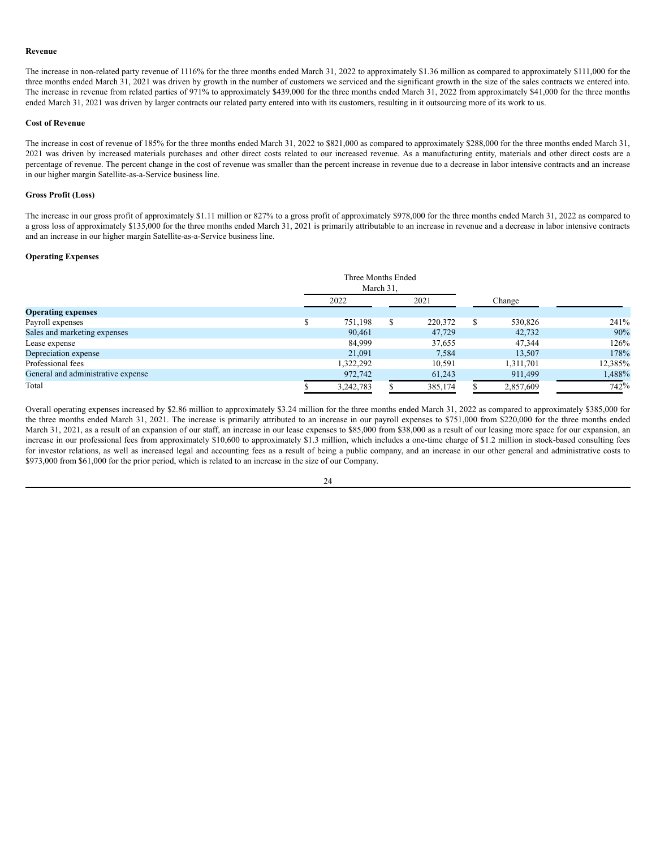## **Revenue**

The increase in non-related party revenue of 1116% for the three months ended March 31, 2022 to approximately \$1.36 million as compared to approximately \$111,000 for the three months ended March 31, 2021 was driven by growth in the number of customers we serviced and the significant growth in the size of the sales contracts we entered into. The increase in revenue from related parties of 971% to approximately \$439,000 for the three months ended March 31, 2022 from approximately \$41,000 for the three months ended March 31, 2021 was driven by larger contracts our related party entered into with its customers, resulting in it outsourcing more of its work to us.

#### **Cost of Revenue**

The increase in cost of revenue of 185% for the three months ended March 31, 2022 to \$821,000 as compared to approximately \$288,000 for the three months ended March 31, 2021 was driven by increased materials purchases and other direct costs related to our increased revenue. As a manufacturing entity, materials and other direct costs are a percentage of revenue. The percent change in the cost of revenue was smaller than the percent increase in revenue due to a decrease in labor intensive contracts and an increase in our higher margin Satellite-as-a-Service business line.

#### **Gross Profit (Loss)**

The increase in our gross profit of approximately \$1.11 million or 827% to a gross profit of approximately \$978,000 for the three months ended March 31, 2022 as compared to a gross loss of approximately \$135,000 for the three months ended March 31, 2021 is primarily attributable to an increase in revenue and a decrease in labor intensive contracts and an increase in our higher margin Satellite-as-a-Service business line.

#### **Operating Expenses**

|                                    | Three Months Ended |           |  |         |        |           |         |  |  |
|------------------------------------|--------------------|-----------|--|---------|--------|-----------|---------|--|--|
|                                    |                    | March 31. |  |         |        |           |         |  |  |
|                                    |                    | 2022      |  | 2021    | Change |           |         |  |  |
| <b>Operating expenses</b>          |                    |           |  |         |        |           |         |  |  |
| Payroll expenses                   |                    | 751,198   |  | 220,372 | S      | 530,826   | 241%    |  |  |
| Sales and marketing expenses       |                    | 90,461    |  | 47,729  |        | 42,732    | 90%     |  |  |
| Lease expense                      |                    | 84,999    |  | 37,655  |        | 47,344    | 126%    |  |  |
| Depreciation expense               |                    | 21,091    |  | 7,584   |        | 13,507    | 178%    |  |  |
| Professional fees                  |                    | 1,322,292 |  | 10,591  |        | 1,311,701 | 12,385% |  |  |
| General and administrative expense |                    | 972,742   |  | 61,243  |        | 911,499   | 1,488%  |  |  |
| Total                              |                    | 3,242,783 |  | 385,174 |        | 2,857,609 | 742%    |  |  |

Overall operating expenses increased by \$2.86 million to approximately \$3.24 million for the three months ended March 31, 2022 as compared to approximately \$385,000 for the three months ended March 31, 2021. The increase is primarily attributed to an increase in our payroll expenses to \$751,000 from \$220,000 for the three months ended March 31, 2021, as a result of an expansion of our staff, an increase in our lease expenses to \$85,000 from \$38,000 as a result of our leasing more space for our expansion, an increase in our professional fees from approximately \$10,600 to approximately \$1.3 million, which includes a one-time charge of \$1.2 million in stock-based consulting fees for investor relations, as well as increased legal and accounting fees as a result of being a public company, and an increase in our other general and administrative costs to \$973,000 from \$61,000 for the prior period, which is related to an increase in the size of our Company.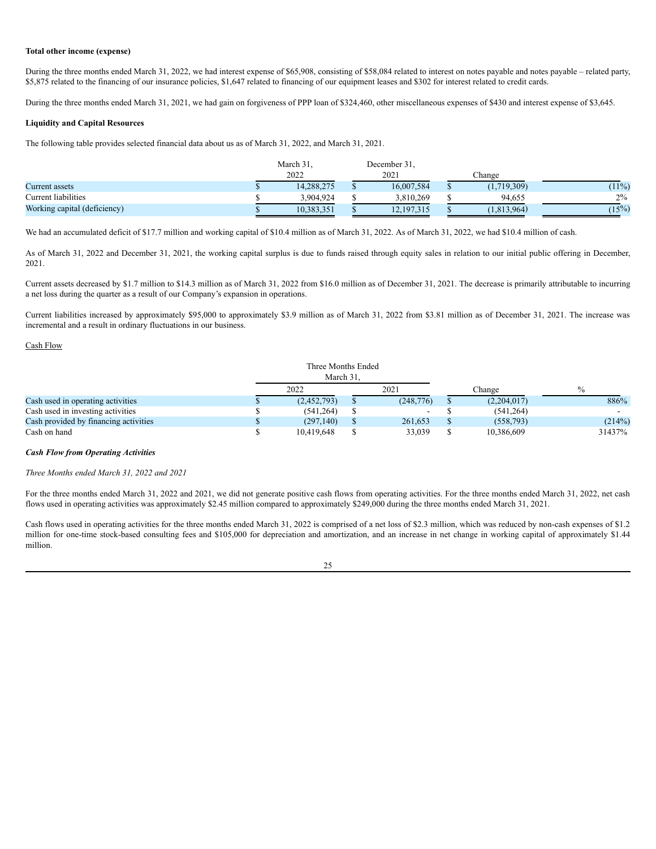## **Total other income (expense)**

During the three months ended March 31, 2022, we had interest expense of \$65,908, consisting of \$58,084 related to interest on notes payable and notes payable – related party, \$5,875 related to the financing of our insurance policies, \$1,647 related to financing of our equipment leases and \$302 for interest related to credit cards.

During the three months ended March 31, 2021, we had gain on forgiveness of PPP loan of \$324,460, other miscellaneous expenses of \$430 and interest expense of \$3,645.

### **Liquidity and Capital Resources**

The following table provides selected financial data about us as of March 31, 2022, and March 31, 2021.

|                              | March 31   | December 31. |              |             |          |
|------------------------------|------------|--------------|--------------|-------------|----------|
|                              | 2022       | 2021         |              | Change      |          |
| Current assets               | 14.288.275 |              | 16,007,584   | (1,719,309) | $(11\%)$ |
| Current liabilities          | 3.904.924  |              | 3.810.269    | 94.655      | $2\%$    |
| Working capital (deficiency) | 10,383,351 |              | 12, 197, 315 | (1,813,964) | $(15\%)$ |

We had an accumulated deficit of \$17.7 million and working capital of \$10.4 million as of March 31, 2022. As of March 31, 2022, we had \$10.4 million of cash.

As of March 31, 2022 and December 31, 2021, the working capital surplus is due to funds raised through equity sales in relation to our initial public offering in December, 2021.

Current assets decreased by \$1.7 million to \$14.3 million as of March 31, 2022 from \$16.0 million as of December 31, 2021. The decrease is primarily attributable to incurring a net loss during the quarter as a result of our Company's expansion in operations.

Current liabilities increased by approximately \$95,000 to approximately \$3.9 million as of March 31, 2022 from \$3.81 million as of December 31, 2021. The increase was incremental and a result in ordinary fluctuations in our business.

#### Cash Flow

|                                       | Three Months Ended |                          |             |        |
|---------------------------------------|--------------------|--------------------------|-------------|--------|
|                                       | March 31.          |                          |             |        |
|                                       | 2022               | 2021                     | Change      | $\%$   |
| Cash used in operating activities     | (2,452,793)        | (248, 776)               | (2,204,017) | 886%   |
| Cash used in investing activities     | (541.264)          | $\overline{\phantom{0}}$ | (541, 264)  |        |
| Cash provided by financing activities | (297, 140)         | 261,653                  | (558, 793)  | (214%) |
| Cash on hand                          | 10.419.648         | 33.039                   | 10,386,609  | 31437% |

#### *Cash Flow from Operating Activities*

*Three Months ended March 31, 2022 and 2021*

For the three months ended March 31, 2022 and 2021, we did not generate positive cash flows from operating activities. For the three months ended March 31, 2022, net cash flows used in operating activities was approximately \$2.45 million compared to approximately \$249,000 during the three months ended March 31, 2021.

Cash flows used in operating activities for the three months ended March 31, 2022 is comprised of a net loss of \$2.3 million, which was reduced by non-cash expenses of \$1.2 million for one-time stock-based consulting fees and \$105,000 for depreciation and amortization, and an increase in net change in working capital of approximately \$1.44 million.

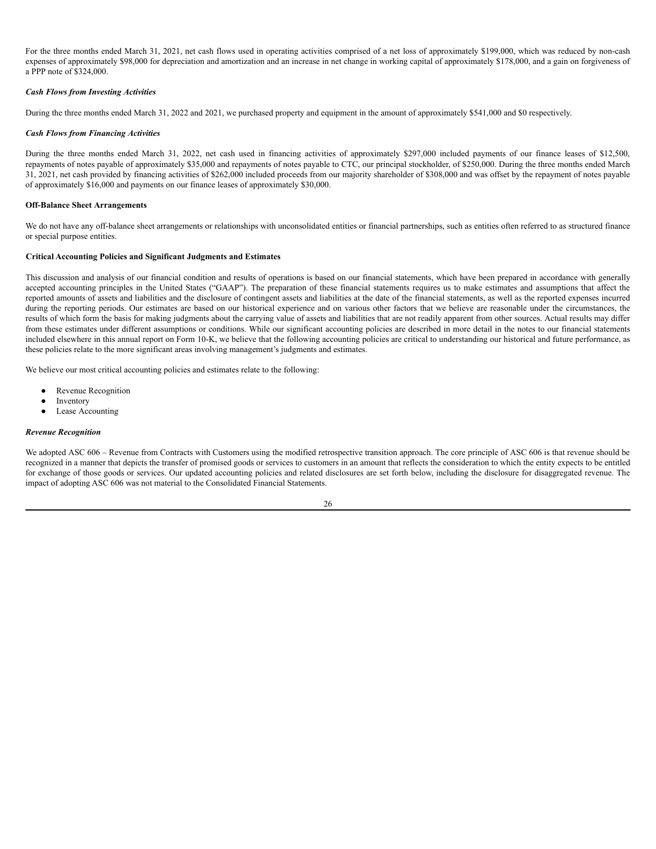For the three months ended March 31, 2021, net cash flows used in operating activities comprised of a net loss of approximately \$199,000, which was reduced by non-cash expenses of approximately \$98,000 for depreciation and amortization and an increase in net change in working capital of approximately \$178,000, and a gain on forgiveness of a PPP note of \$324,000.

#### *Cash Flows from Investing Activities*

During the three months ended March 31, 2022 and 2021, we purchased property and equipment in the amount of approximately \$541,000 and \$0 respectively.

#### *Cash Flows from Financing Activities*

During the three months ended March 31, 2022, net cash used in financing activities of approximately \$297,000 included payments of our finance leases of \$12,500, repayments of notes payable of approximately \$35,000 and repayments of notes payable to CTC, our principal stockholder, of \$250,000. During the three months ended March 31, 2021, net cash provided by financing activities of \$262,000 included proceeds from our majority shareholder of \$308,000 and was offset by the repayment of notes payable of approximately \$16,000 and payments on our finance leases of approximately \$30,000.

#### **Off-Balance Sheet Arrangements**

We do not have any off-balance sheet arrangements or relationships with unconsolidated entities or financial partnerships, such as entities often referred to as structured finance or special purpose entities.

#### **Critical Accounting Policies and Significant Judgments and Estimates**

This discussion and analysis of our financial condition and results of operations is based on our financial statements, which have been prepared in accordance with generally accepted accounting principles in the United States ("GAAP"). The preparation of these financial statements requires us to make estimates and assumptions that affect the reported amounts of assets and liabilities and the disclosure of contingent assets and liabilities at the date of the financial statements, as well as the reported expenses incurred during the reporting periods. Our estimates are based on our historical experience and on various other factors that we believe are reasonable under the circumstances, the results of which form the basis for making judgments about the carrying value of assets and liabilities that are not readily apparent from other sources. Actual results may differ from these estimates under different assumptions or conditions. While our significant accounting policies are described in more detail in the notes to our financial statements included elsewhere in this annual report on Form 10-K, we believe that the following accounting policies are critical to understanding our historical and future performance, as these policies relate to the more significant areas involving management's judgments and estimates.

We believe our most critical accounting policies and estimates relate to the following:

- **Revenue Recognition**
- Inventory
- Lease Accounting

#### *Revenue Recognition*

We adopted ASC 606 – Revenue from Contracts with Customers using the modified retrospective transition approach. The core principle of ASC 606 is that revenue should be recognized in a manner that depicts the transfer of promised goods or services to customers in an amount that reflects the consideration to which the entity expects to be entitled for exchange of those goods or services. Our updated accounting policies and related disclosures are set forth below, including the disclosure for disaggregated revenue. The impact of adopting ASC 606 was not material to the Consolidated Financial Statements.

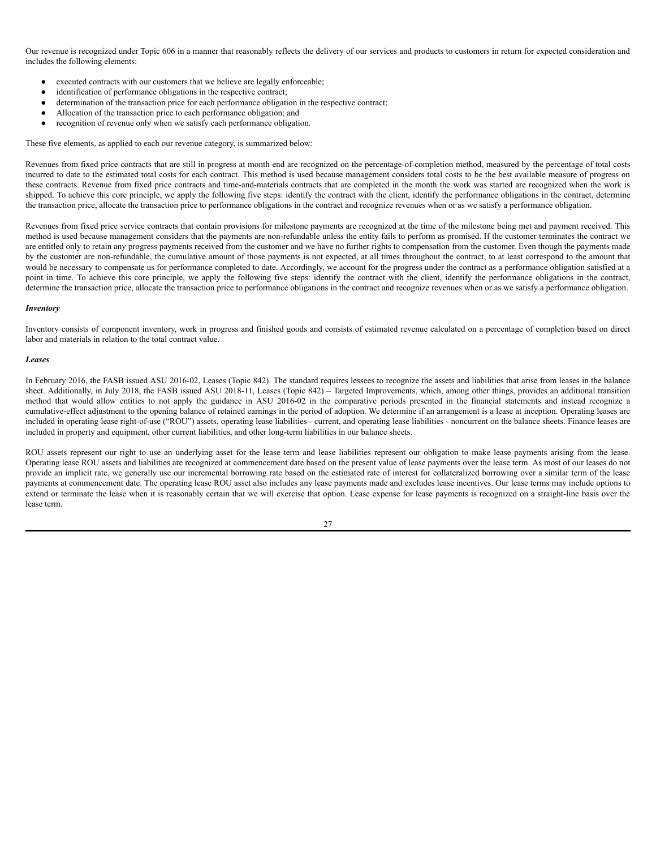Our revenue is recognized under Topic 606 in a manner that reasonably reflects the delivery of our services and products to customers in return for expected consideration and includes the following elements:

- executed contracts with our customers that we believe are legally enforceable;
- identification of performance obligations in the respective contract;
- determination of the transaction price for each performance obligation in the respective contract;
- Allocation of the transaction price to each performance obligation; and
- recognition of revenue only when we satisfy each performance obligation.

These five elements, as applied to each our revenue category, is summarized below:

Revenues from fixed price contracts that are still in progress at month end are recognized on the percentage-of-completion method, measured by the percentage of total costs incurred to date to the estimated total costs for each contract. This method is used because management considers total costs to be the best available measure of progress on these contracts. Revenue from fixed price contracts and time-and-materials contracts that are completed in the month the work was started are recognized when the work is shipped. To achieve this core principle, we apply the following five steps: identify the contract with the client, identify the performance obligations in the contract, determine the transaction price, allocate the transaction price to performance obligations in the contract and recognize revenues when or as we satisfy a performance obligation.

Revenues from fixed price service contracts that contain provisions for milestone payments are recognized at the time of the milestone being met and payment received. This method is used because management considers that the payments are non-refundable unless the entity fails to perform as promised. If the customer terminates the contract we are entitled only to retain any progress payments received from the customer and we have no further rights to compensation from the customer. Even though the payments made by the customer are non-refundable, the cumulative amount of those payments is not expected, at all times throughout the contract, to at least correspond to the amount that would be necessary to compensate us for performance completed to date. Accordingly, we account for the progress under the contract as a performance obligation satisfied at a point in time. To achieve this core principle, we apply the following five steps: identify the contract with the client, identify the performance obligations in the contract, determine the transaction price, allocate the transaction price to performance obligations in the contract and recognize revenues when or as we satisfy a performance obligation.

#### *Inventory*

Inventory consists of component inventory, work in progress and finished goods and consists of estimated revenue calculated on a percentage of completion based on direct labor and materials in relation to the total contract value.

#### *Leases*

In February 2016, the FASB issued ASU 2016-02, Leases (Topic 842). The standard requires lessees to recognize the assets and liabilities that arise from leases in the balance sheet. Additionally, in July 2018, the FASB issued ASU 2018-11, Leases (Topic 842) – Targeted Improvements, which, among other things, provides an additional transition method that would allow entities to not apply the guidance in ASU 2016-02 in the comparative periods presented in the financial statements and instead recognize a cumulative-effect adjustment to the opening balance of retained earnings in the period of adoption. We determine if an arrangement is a lease at inception. Operating leases are included in operating lease right-of-use ("ROU") assets, operating lease liabilities - current, and operating lease liabilities - noncurrent on the balance sheets. Finance leases are included in property and equipment, other current liabilities, and other long-term liabilities in our balance sheets.

ROU assets represent our right to use an underlying asset for the lease term and lease liabilities represent our obligation to make lease payments arising from the lease. Operating lease ROU assets and liabilities are recognized at commencement date based on the present value of lease payments over the lease term. As most of our leases do not provide an implicit rate, we generally use our incremental borrowing rate based on the estimated rate of interest for collateralized borrowing over a similar term of the lease payments at commencement date. The operating lease ROU asset also includes any lease payments made and excludes lease incentives. Our lease terms may include options to extend or terminate the lease when it is reasonably certain that we will exercise that option. Lease expense for lease payments is recognized on a straight-line basis over the lease term.

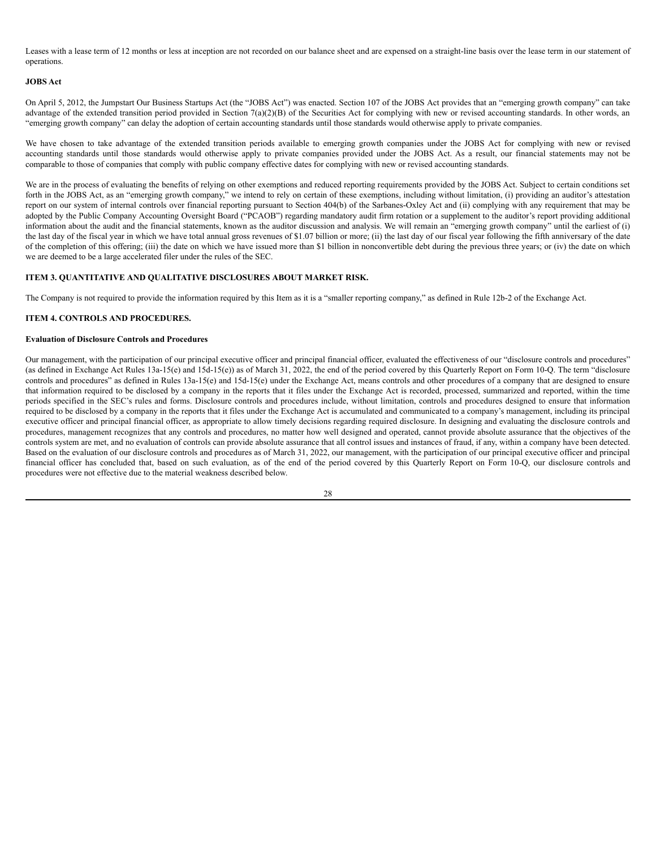Leases with a lease term of 12 months or less at inception are not recorded on our balance sheet and are expensed on a straight-line basis over the lease term in our statement of operations.

## **JOBS Act**

On April 5, 2012, the Jumpstart Our Business Startups Act (the "JOBS Act") was enacted. Section 107 of the JOBS Act provides that an "emerging growth company" can take advantage of the extended transition period provided in Section 7(a)(2)(B) of the Securities Act for complying with new or revised accounting standards. In other words, an "emerging growth company" can delay the adoption of certain accounting standards until those standards would otherwise apply to private companies.

We have chosen to take advantage of the extended transition periods available to emerging growth companies under the JOBS Act for complying with new or revised accounting standards until those standards would otherwise apply to private companies provided under the JOBS Act. As a result, our financial statements may not be comparable to those of companies that comply with public company effective dates for complying with new or revised accounting standards.

We are in the process of evaluating the benefits of relying on other exemptions and reduced reporting requirements provided by the JOBS Act. Subject to certain conditions set forth in the JOBS Act, as an "emerging growth company," we intend to rely on certain of these exemptions, including without limitation, (i) providing an auditor's attestation report on our system of internal controls over financial reporting pursuant to Section 404(b) of the Sarbanes-Oxley Act and (ii) complying with any requirement that may be adopted by the Public Company Accounting Oversight Board ("PCAOB") regarding mandatory audit firm rotation or a supplement to the auditor's report providing additional information about the audit and the financial statements, known as the auditor discussion and analysis. We will remain an "emerging growth company" until the earliest of (i) the last day of the fiscal year in which we have total annual gross revenues of \$1.07 billion or more; (ii) the last day of our fiscal year following the fifth anniversary of the date of the completion of this offering; (iii) the date on which we have issued more than \$1 billion in nonconvertible debt during the previous three years; or (iv) the date on which we are deemed to be a large accelerated filer under the rules of the SEC.

# <span id="page-27-0"></span>**ITEM 3. QUANTITATIVE AND QUALITATIVE DISCLOSURES ABOUT MARKET RISK.**

The Company is not required to provide the information required by this Item as it is a "smaller reporting company," as defined in Rule 12b-2 of the Exchange Act.

# <span id="page-27-1"></span>**ITEM 4. CONTROLS AND PROCEDURES.**

#### **Evaluation of Disclosure Controls and Procedures**

Our management, with the participation of our principal executive officer and principal financial officer, evaluated the effectiveness of our "disclosure controls and procedures" (as defined in Exchange Act Rules 13a-15(e) and 15d-15(e)) as of March 31, 2022, the end of the period covered by this Quarterly Report on Form 10-Q. The term "disclosure controls and procedures" as defined in Rules 13a-15(e) and 15d-15(e) under the Exchange Act, means controls and other procedures of a company that are designed to ensure that information required to be disclosed by a company in the reports that it files under the Exchange Act is recorded, processed, summarized and reported, within the time periods specified in the SEC's rules and forms. Disclosure controls and procedures include, without limitation, controls and procedures designed to ensure that information required to be disclosed by a company in the reports that it files under the Exchange Act is accumulated and communicated to a company's management, including its principal executive officer and principal financial officer, as appropriate to allow timely decisions regarding required disclosure. In designing and evaluating the disclosure controls and procedures, management recognizes that any controls and procedures, no matter how well designed and operated, cannot provide absolute assurance that the objectives of the controls system are met, and no evaluation of controls can provide absolute assurance that all control issues and instances of fraud, if any, within a company have been detected. Based on the evaluation of our disclosure controls and procedures as of March 31, 2022, our management, with the participation of our principal executive officer and principal financial officer has concluded that, based on such evaluation, as of the end of the period covered by this Quarterly Report on Form 10-Q, our disclosure controls and procedures were not effective due to the material weakness described below.

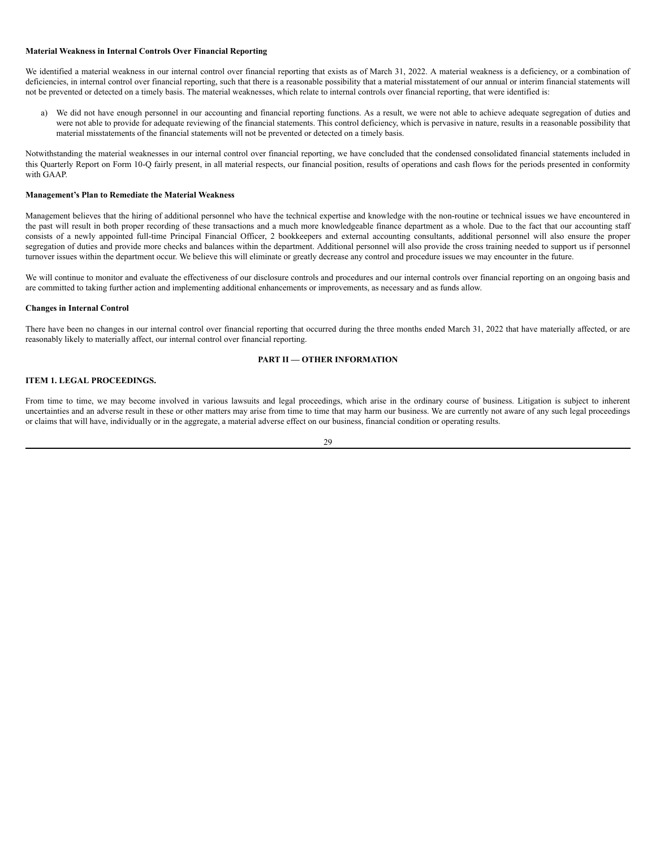## **Material Weakness in Internal Controls Over Financial Reporting**

We identified a material weakness in our internal control over financial reporting that exists as of March 31, 2022. A material weakness is a deficiency, or a combination of deficiencies, in internal control over financial reporting, such that there is a reasonable possibility that a material misstatement of our annual or interim financial statements will not be prevented or detected on a timely basis. The material weaknesses, which relate to internal controls over financial reporting, that were identified is:

a) We did not have enough personnel in our accounting and financial reporting functions. As a result, we were not able to achieve adequate segregation of duties and were not able to provide for adequate reviewing of the financial statements. This control deficiency, which is pervasive in nature, results in a reasonable possibility that material misstatements of the financial statements will not be prevented or detected on a timely basis.

Notwithstanding the material weaknesses in our internal control over financial reporting, we have concluded that the condensed consolidated financial statements included in this Quarterly Report on Form 10-Q fairly present, in all material respects, our financial position, results of operations and cash flows for the periods presented in conformity with GAAP.

#### **Management's Plan to Remediate the Material Weakness**

Management believes that the hiring of additional personnel who have the technical expertise and knowledge with the non-routine or technical issues we have encountered in the past will result in both proper recording of these transactions and a much more knowledgeable finance department as a whole. Due to the fact that our accounting staff consists of a newly appointed full-time Principal Financial Officer, 2 bookkeepers and external accounting consultants, additional personnel will also ensure the proper segregation of duties and provide more checks and balances within the department. Additional personnel will also provide the cross training needed to support us if personnel turnover issues within the department occur. We believe this will eliminate or greatly decrease any control and procedure issues we may encounter in the future.

We will continue to monitor and evaluate the effectiveness of our disclosure controls and procedures and our internal controls over financial reporting on an ongoing basis and are committed to taking further action and implementing additional enhancements or improvements, as necessary and as funds allow.

#### **Changes in Internal Control**

There have been no changes in our internal control over financial reporting that occurred during the three months ended March 31, 2022 that have materially affected, or are reasonably likely to materially affect, our internal control over financial reporting.

# **PART II — OTHER INFORMATION**

# <span id="page-28-1"></span><span id="page-28-0"></span>**ITEM 1. LEGAL PROCEEDINGS.**

From time to time, we may become involved in various lawsuits and legal proceedings, which arise in the ordinary course of business. Litigation is subject to inherent uncertainties and an adverse result in these or other matters may arise from time to time that may harm our business. We are currently not aware of any such legal proceedings or claims that will have, individually or in the aggregate, a material adverse effect on our business, financial condition or operating results.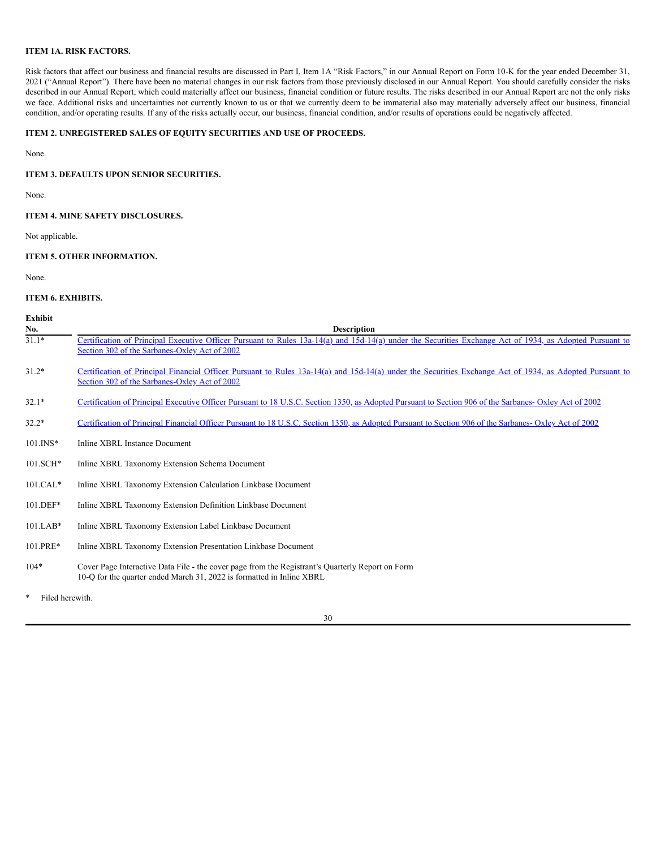## <span id="page-29-0"></span>**ITEM 1A. RISK FACTORS.**

Risk factors that affect our business and financial results are discussed in Part I, Item 1A "Risk Factors," in our Annual Report on Form 10-K for the year ended December 31, 2021 ("Annual Report"). There have been no material changes in our risk factors from those previously disclosed in our Annual Report. You should carefully consider the risks described in our Annual Report, which could materially affect our business, financial condition or future results. The risks described in our Annual Report are not the only risks we face. Additional risks and uncertainties not currently known to us or that we currently deem to be immaterial also may materially adversely affect our business, financial condition, and/or operating results. If any of the risks actually occur, our business, financial condition, and/or results of operations could be negatively affected.

# <span id="page-29-1"></span>**ITEM 2. UNREGISTERED SALES OF EQUITY SECURITIES AND USE OF PROCEEDS.**

None.

# <span id="page-29-2"></span>**ITEM 3. DEFAULTS UPON SENIOR SECURITIES.**

None.

<span id="page-29-3"></span>**ITEM 4. MINE SAFETY DISCLOSURES.**

Not applicable.

# <span id="page-29-4"></span>**ITEM 5. OTHER INFORMATION.**

None.

# <span id="page-29-5"></span>**ITEM 6. EXHIBITS.**

| Exhibit<br>No.            | <b>Description</b>                                                                                                                                                                                        |
|---------------------------|-----------------------------------------------------------------------------------------------------------------------------------------------------------------------------------------------------------|
| $31.1*$                   | Certification of Principal Executive Officer Pursuant to Rules 13a-14(a) and 15d-14(a) under the Securities Exchange Act of 1934, as Adopted Pursuant to<br>Section 302 of the Sarbanes-Oxley Act of 2002 |
| $31.2*$                   | Certification of Principal Financial Officer Pursuant to Rules 13a-14(a) and 15d-14(a) under the Securities Exchange Act of 1934, as Adopted Pursuant to<br>Section 302 of the Sarbanes-Oxley Act of 2002 |
| $32.1*$                   | Certification of Principal Executive Officer Pursuant to 18 U.S.C. Section 1350, as Adopted Pursuant to Section 906 of the Sarbanes-Oxley Act of 2002                                                     |
| $32.2*$                   | Certification of Principal Financial Officer Pursuant to 18 U.S.C. Section 1350, as Adopted Pursuant to Section 906 of the Sarbanes- Oxley Act of 2002                                                    |
| $101$ . INS*              | Inline XBRL Instance Document                                                                                                                                                                             |
| $101.SCH*$                | Inline XBRL Taxonomy Extension Schema Document                                                                                                                                                            |
| $101.CAL*$                | Inline XBRL Taxonomy Extension Calculation Linkbase Document                                                                                                                                              |
| 101.DEF*                  | Inline XBRL Taxonomy Extension Definition Linkbase Document                                                                                                                                               |
| $101.LAB*$                | Inline XBRL Taxonomy Extension Label Linkbase Document                                                                                                                                                    |
| 101.PRE*                  | Inline XBRL Taxonomy Extension Presentation Linkbase Document                                                                                                                                             |
| $104*$                    | Cover Page Interactive Data File - the cover page from the Registrant's Quarterly Report on Form<br>10-Q for the quarter ended March 31, 2022 is formatted in Inline XBRL                                 |
| $\ast$<br>Filed herewith. |                                                                                                                                                                                                           |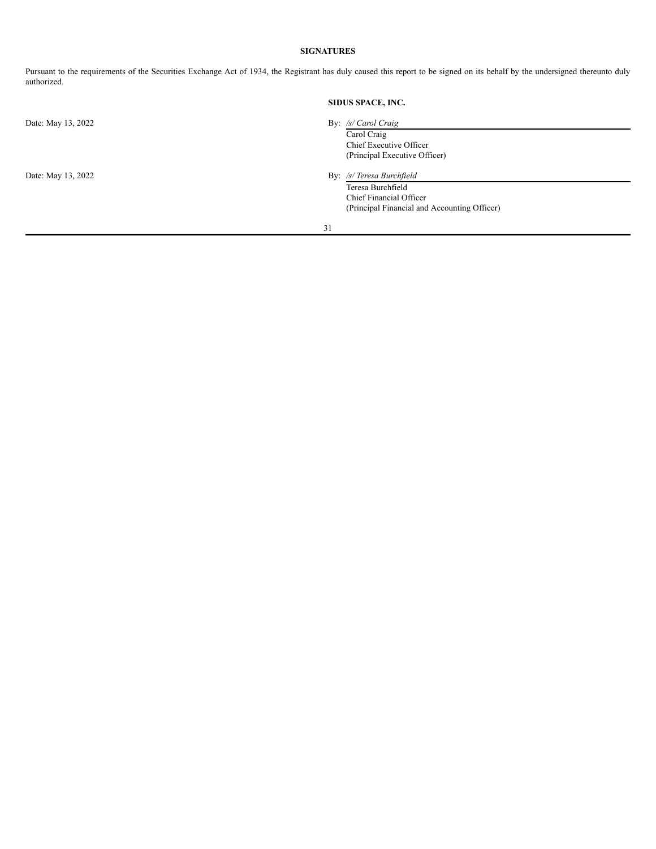# **SIGNATURES**

<span id="page-30-0"></span>Pursuant to the requirements of the Securities Exchange Act of 1934, the Registrant has duly caused this report to be signed on its behalf by the undersigned thereunto duly authorized.

|                    | SIDUS SPACE, INC.                                                                                                         |
|--------------------|---------------------------------------------------------------------------------------------------------------------------|
| Date: May 13, 2022 | By: /s/ Carol Craig<br>Carol Craig<br>Chief Executive Officer<br>(Principal Executive Officer)                            |
| Date: May 13, 2022 | By: /s/ Teresa Burchfield<br>Teresa Burchfield<br>Chief Financial Officer<br>(Principal Financial and Accounting Officer) |
|                    | 31                                                                                                                        |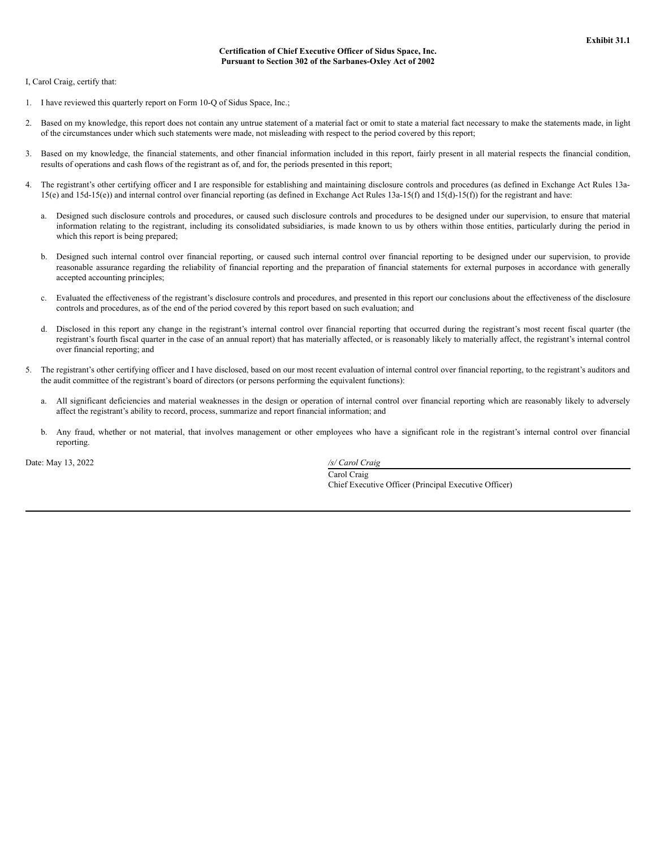# **Certification of Chief Executive Officer of Sidus Space, Inc. Pursuant to Section 302 of the Sarbanes-Oxley Act of 2002**

I, Carol Craig, certify that:

- 1. I have reviewed this quarterly report on Form 10-Q of Sidus Space, Inc.;
- 2. Based on my knowledge, this report does not contain any untrue statement of a material fact or omit to state a material fact necessary to make the statements made, in light of the circumstances under which such statements were made, not misleading with respect to the period covered by this report;
- 3. Based on my knowledge, the financial statements, and other financial information included in this report, fairly present in all material respects the financial condition, results of operations and cash flows of the registrant as of, and for, the periods presented in this report;
- 4. The registrant's other certifying officer and I are responsible for establishing and maintaining disclosure controls and procedures (as defined in Exchange Act Rules 13a-15(e) and 15d-15(e)) and internal control over financial reporting (as defined in Exchange Act Rules 13a-15(f) and 15(d)-15(f)) for the registrant and have:
	- a. Designed such disclosure controls and procedures, or caused such disclosure controls and procedures to be designed under our supervision, to ensure that material information relating to the registrant, including its consolidated subsidiaries, is made known to us by others within those entities, particularly during the period in which this report is being prepared;
	- b. Designed such internal control over financial reporting, or caused such internal control over financial reporting to be designed under our supervision, to provide reasonable assurance regarding the reliability of financial reporting and the preparation of financial statements for external purposes in accordance with generally accepted accounting principles;
	- c. Evaluated the effectiveness of the registrant's disclosure controls and procedures, and presented in this report our conclusions about the effectiveness of the disclosure controls and procedures, as of the end of the period covered by this report based on such evaluation; and
	- d. Disclosed in this report any change in the registrant's internal control over financial reporting that occurred during the registrant's most recent fiscal quarter (the registrant's fourth fiscal quarter in the case of an annual report) that has materially affected, or is reasonably likely to materially affect, the registrant's internal control over financial reporting; and
- The registrant's other certifying officer and I have disclosed, based on our most recent evaluation of internal control over financial reporting, to the registrant's auditors and the audit committee of the registrant's board of directors (or persons performing the equivalent functions):
	- All significant deficiencies and material weaknesses in the design or operation of internal control over financial reporting which are reasonably likely to adversely affect the registrant's ability to record, process, summarize and report financial information; and
	- b. Any fraud, whether or not material, that involves management or other employees who have a significant role in the registrant's internal control over financial reporting.

Date: May 13, 2022 */s/ Carol Craig*

Carol Craig Chief Executive Officer (Principal Executive Officer)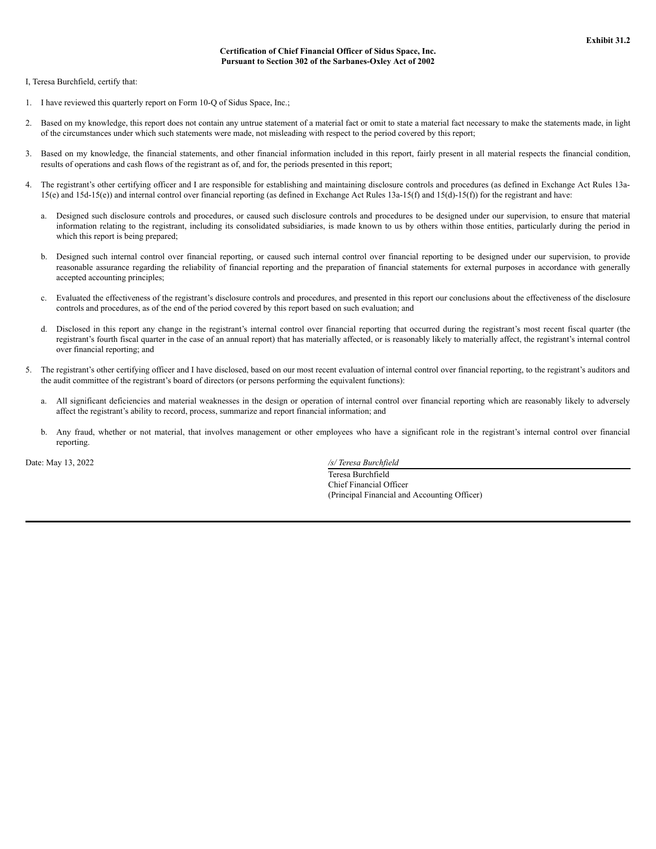# **Certification of Chief Financial Officer of Sidus Space, Inc. Pursuant to Section 302 of the Sarbanes-Oxley Act of 2002**

I, Teresa Burchfield, certify that:

- 1. I have reviewed this quarterly report on Form 10-Q of Sidus Space, Inc.;
- 2. Based on my knowledge, this report does not contain any untrue statement of a material fact or omit to state a material fact necessary to make the statements made, in light of the circumstances under which such statements were made, not misleading with respect to the period covered by this report;
- 3. Based on my knowledge, the financial statements, and other financial information included in this report, fairly present in all material respects the financial condition, results of operations and cash flows of the registrant as of, and for, the periods presented in this report;
- 4. The registrant's other certifying officer and I are responsible for establishing and maintaining disclosure controls and procedures (as defined in Exchange Act Rules 13a-15(e) and 15d-15(e)) and internal control over financial reporting (as defined in Exchange Act Rules 13a-15(f) and 15(d)-15(f)) for the registrant and have:
	- a. Designed such disclosure controls and procedures, or caused such disclosure controls and procedures to be designed under our supervision, to ensure that material information relating to the registrant, including its consolidated subsidiaries, is made known to us by others within those entities, particularly during the period in which this report is being prepared;
	- b. Designed such internal control over financial reporting, or caused such internal control over financial reporting to be designed under our supervision, to provide reasonable assurance regarding the reliability of financial reporting and the preparation of financial statements for external purposes in accordance with generally accepted accounting principles;
	- c. Evaluated the effectiveness of the registrant's disclosure controls and procedures, and presented in this report our conclusions about the effectiveness of the disclosure controls and procedures, as of the end of the period covered by this report based on such evaluation; and
	- d. Disclosed in this report any change in the registrant's internal control over financial reporting that occurred during the registrant's most recent fiscal quarter (the registrant's fourth fiscal quarter in the case of an annual report) that has materially affected, or is reasonably likely to materially affect, the registrant's internal control over financial reporting; and
- The registrant's other certifying officer and I have disclosed, based on our most recent evaluation of internal control over financial reporting, to the registrant's auditors and the audit committee of the registrant's board of directors (or persons performing the equivalent functions):
	- All significant deficiencies and material weaknesses in the design or operation of internal control over financial reporting which are reasonably likely to adversely affect the registrant's ability to record, process, summarize and report financial information; and
	- b. Any fraud, whether or not material, that involves management or other employees who have a significant role in the registrant's internal control over financial reporting.

Date: May 13, 2022 */s/ Teresa Burchfield*

Teresa Burchfield Chief Financial Officer (Principal Financial and Accounting Officer)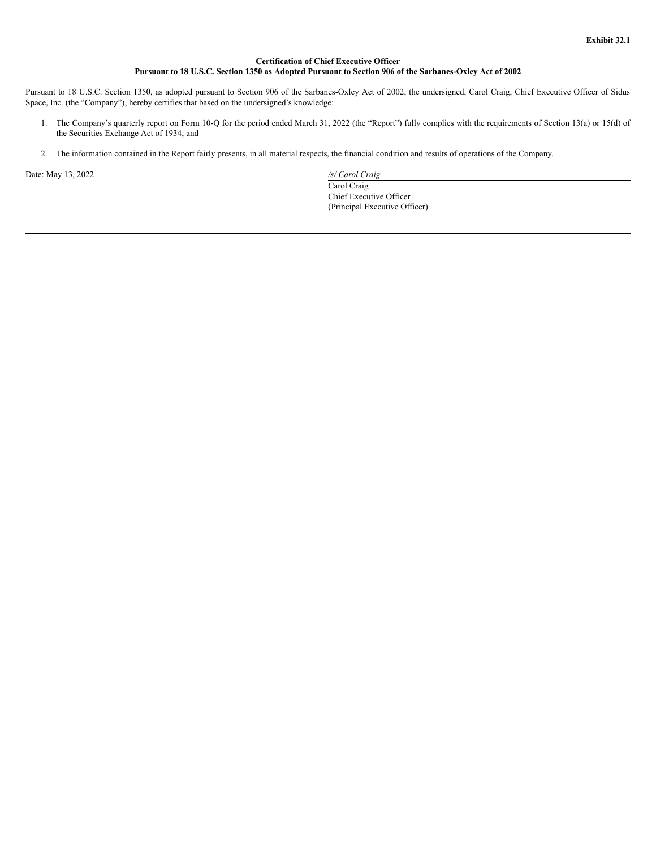# **Certification of Chief Executive Officer** Pursuant to 18 U.S.C. Section 1350 as Adopted Pursuant to Section 906 of the Sarbanes-Oxley Act of 2002

Pursuant to 18 U.S.C. Section 1350, as adopted pursuant to Section 906 of the Sarbanes-Oxley Act of 2002, the undersigned, Carol Craig, Chief Executive Officer of Sidus Space, Inc. (the "Company"), hereby certifies that based on the undersigned's knowledge:

- 1. The Company's quarterly report on Form 10-Q for the period ended March 31, 2022 (the "Report") fully complies with the requirements of Section 13(a) or 15(d) of the Securities Exchange Act of 1934; and
- 2. The information contained in the Report fairly presents, in all material respects, the financial condition and results of operations of the Company.

Date: May 13, 2022

/s/ Carol Craig<br>Carol Craig Chief Executive Officer (Principal Executive Officer)